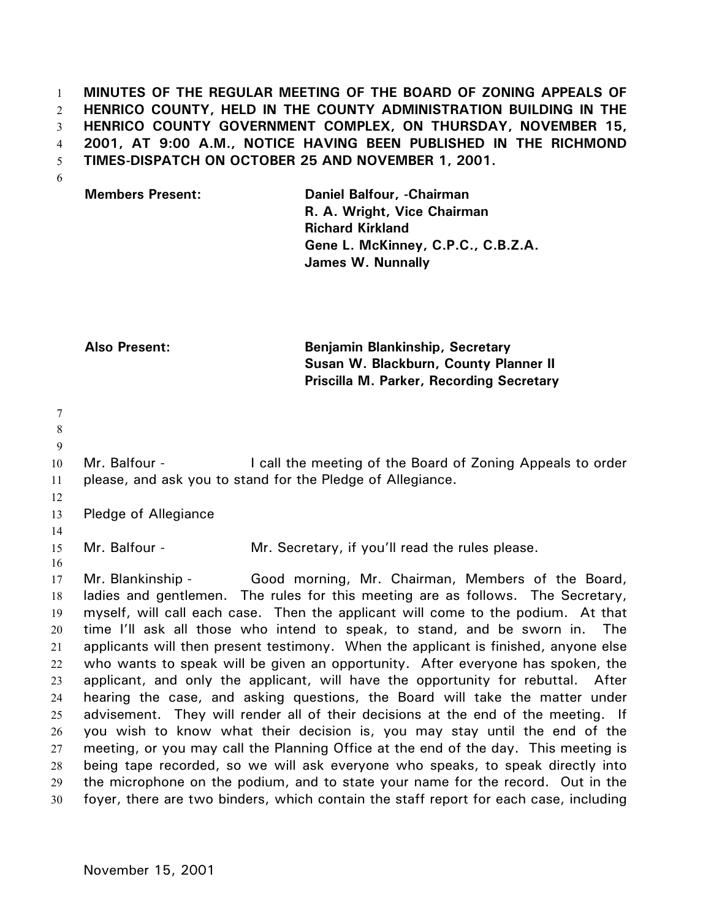**MINUTES OF THE REGULAR MEETING OF THE BOARD OF ZONING APPEALS OF HENRICO COUNTY, HELD IN THE COUNTY ADMINISTRATION BUILDING IN THE HENRICO COUNTY GOVERNMENT COMPLEX, ON THURSDAY, NOVEMBER 15, 2001, AT 9:00 A.M., NOTICE HAVING BEEN PUBLISHED IN THE RICHMOND TIMES-DISPATCH ON OCTOBER 25 AND NOVEMBER 1, 2001.**  1 2 3 4 5

6

| <b>Members Present:</b> | Daniel Balfour, -Chairman          |
|-------------------------|------------------------------------|
|                         | R. A. Wright, Vice Chairman        |
|                         | <b>Richard Kirkland</b>            |
|                         | Gene L. McKinney, C.P.C., C.B.Z.A. |
|                         | <b>James W. Nunnally</b>           |

**Also Present: Benjamin Blankinship, Secretary Susan W. Blackburn, County Planner II Priscilla M. Parker, Recording Secretary** 

7 8 9 10 11 12 13 14 15 16 17 18 19 20 21 22 23 24 25 26 27 28 29 30 Mr. Balfour - The call the meeting of the Board of Zoning Appeals to order please, and ask you to stand for the Pledge of Allegiance. Pledge of Allegiance Mr. Balfour - Mr. Secretary, if you'll read the rules please. Mr. Blankinship - Good morning, Mr. Chairman, Members of the Board, ladies and gentlemen. The rules for this meeting are as follows. The Secretary, myself, will call each case. Then the applicant will come to the podium. At that time I'll ask all those who intend to speak, to stand, and be sworn in. The applicants will then present testimony. When the applicant is finished, anyone else who wants to speak will be given an opportunity. After everyone has spoken, the applicant, and only the applicant, will have the opportunity for rebuttal. After hearing the case, and asking questions, the Board will take the matter under advisement. They will render all of their decisions at the end of the meeting. If you wish to know what their decision is, you may stay until the end of the meeting, or you may call the Planning Office at the end of the day. This meeting is being tape recorded, so we will ask everyone who speaks, to speak directly into the microphone on the podium, and to state your name for the record. Out in the foyer, there are two binders, which contain the staff report for each case, including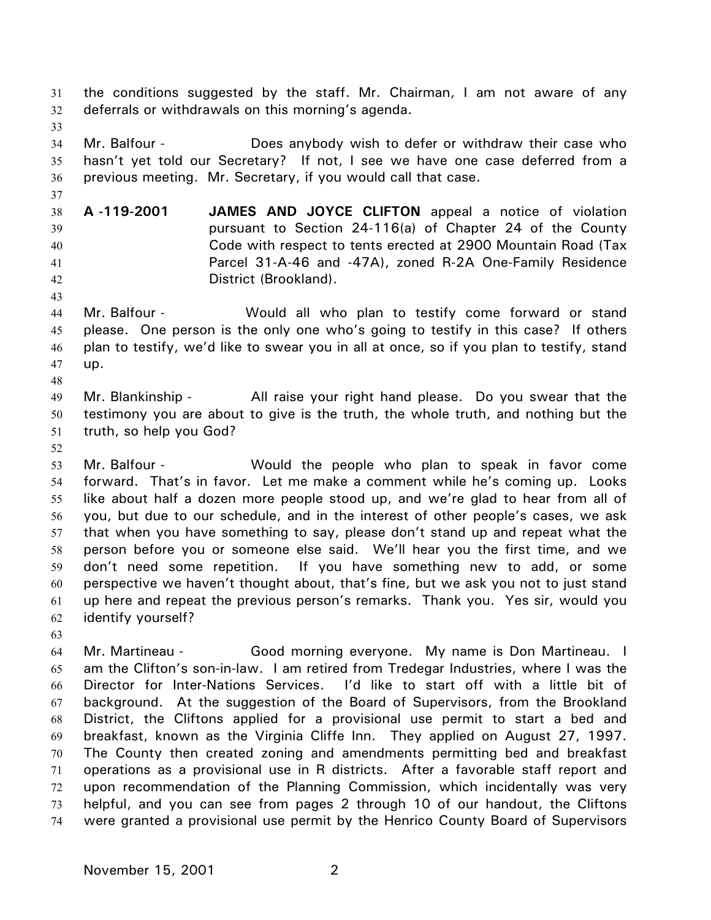the conditions suggested by the staff. Mr. Chairman, I am not aware of any deferrals or withdrawals on this morning's agenda. 31 32

33

37

43

34 35 36 Mr. Balfour - **Does anybody wish to defer or withdraw** their case who hasn't yet told our Secretary? If not, I see we have one case deferred from a previous meeting. Mr. Secretary, if you would call that case.

38 39 40 41 42 **A -119-2001 JAMES AND JOYCE CLIFTON** appeal a notice of violation pursuant to Section 24-116(a) of Chapter 24 of the County Code with respect to tents erected at 2900 Mountain Road (Tax Parcel 31-A-46 and -47A), zoned R-2A One-Family Residence District (Brookland).

- 44 45 46 47 Mr. Balfour - Would all who plan to testify come forward or stand please. One person is the only one who's going to testify in this case? If others plan to testify, we'd like to swear you in all at once, so if you plan to testify, stand up.
- 49 50 51 Mr. Blankinship - All raise your right hand please. Do you swear that the testimony you are about to give is the truth, the whole truth, and nothing but the truth, so help you God?
- 52

48

53 54 55 56 57 58 59 60 61 62 Mr. Balfour - Would the people who plan to speak in favor come forward. That's in favor. Let me make a comment while he's coming up. Looks like about half a dozen more people stood up, and we're glad to hear from all of you, but due to our schedule, and in the interest of other people's cases, we ask that when you have something to say, please don't stand up and repeat what the person before you or someone else said. We'll hear you the first time, and we don't need some repetition. If you have something new to add, or some perspective we haven't thought about, that's fine, but we ask you not to just stand up here and repeat the previous person's remarks. Thank you. Yes sir, would you identify yourself?

63

64 65 66 67 68 69 70 71 72 73 74 Mr. Martineau - Good morning everyone. My name is Don Martineau. I am the Clifton's son-in-law. I am retired from Tredegar Industries, where I was the Director for Inter-Nations Services. I'd like to start off with a little bit of background. At the suggestion of the Board of Supervisors, from the Brookland District, the Cliftons applied for a provisional use permit to start a bed and breakfast, known as the Virginia Cliffe Inn. They applied on August 27, 1997. The County then created zoning and amendments permitting bed and breakfast operations as a provisional use in R districts. After a favorable staff report and upon recommendation of the Planning Commission, which incidentally was very helpful, and you can see from pages 2 through 10 of our handout, the Cliftons were granted a provisional use permit by the Henrico County Board of Supervisors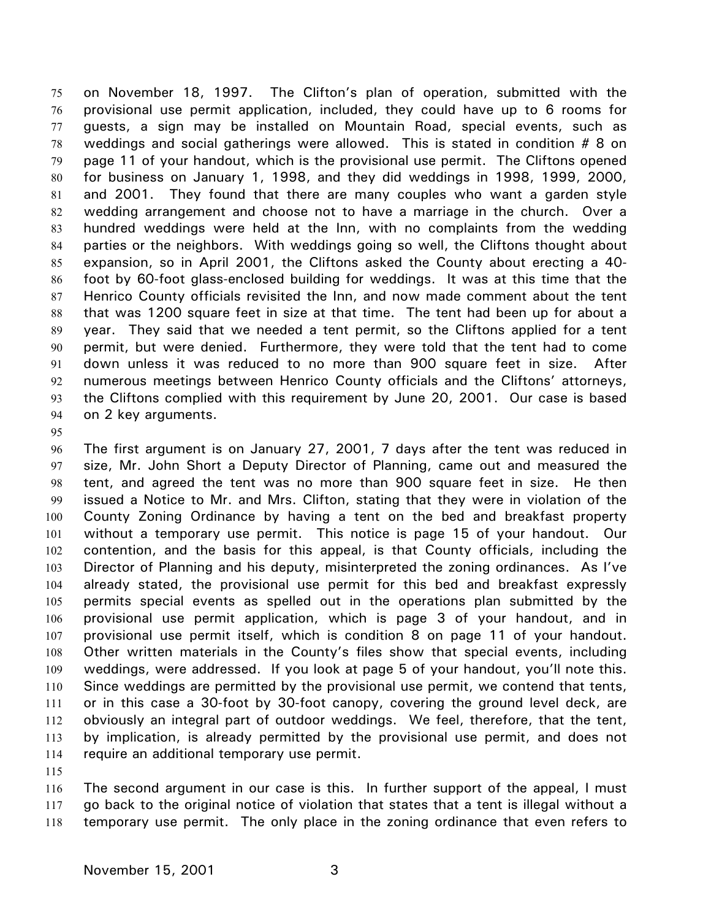on November 18, 1997. The Clifton's plan of operation, submitted with the provisional use permit application, included, they could have up to 6 rooms for guests, a sign may be installed on Mountain Road, special events, such as weddings and social gatherings were allowed. This is stated in condition # 8 on page 11 of your handout, which is the provisional use permit. The Cliftons opened for business on January 1, 1998, and they did weddings in 1998, 1999, 2000, and 2001. They found that there are many couples who want a garden style wedding arrangement and choose not to have a marriage in the church. Over a hundred weddings were held at the Inn, with no complaints from the wedding parties or the neighbors. With weddings going so well, the Cliftons thought about expansion, so in April 2001, the Cliftons asked the County about erecting a 40 foot by 60-foot glass-enclosed building for weddings. It was at this time that the Henrico County officials revisited the Inn, and now made comment about the tent that was 1200 square feet in size at that time. The tent had been up for about a year. They said that we needed a tent permit, so the Cliftons applied for a tent permit, but were denied. Furthermore, they were told that the tent had to come down unless it was reduced to no more than 900 square feet in size. After numerous meetings between Henrico County officials and the Cliftons' attorneys, the Cliftons complied with this requirement by June 20, 2001. Our case is based on 2 key arguments. 75 76 77 78 79 80 81 82 83 84 85 86 87 88 89 90 91 92 93 94

95

96 97 98 99 100 101 102 103 104 105 106 107 108 109 110 111 112 113 114 The first argument is on January 27, 2001, 7 days after the tent was reduced in size, Mr. John Short a Deputy Director of Planning, came out and measured the tent, and agreed the tent was no more than 900 square feet in size. He then issued a Notice to Mr. and Mrs. Clifton, stating that they were in violation of the County Zoning Ordinance by having a tent on the bed and breakfast property without a temporary use permit. This notice is page 15 of your handout. Our contention, and the basis for this appeal, is that County officials, including the Director of Planning and his deputy, misinterpreted the zoning ordinances. As I've already stated, the provisional use permit for this bed and breakfast expressly permits special events as spelled out in the operations plan submitted by the provisional use permit application, which is page 3 of your handout, and in provisional use permit itself, which is condition 8 on page 11 of your handout. Other written materials in the County's files show that special events, including weddings, were addressed. If you look at page 5 of your handout, you'll note this. Since weddings are permitted by the provisional use permit, we contend that tents, or in this case a 30-foot by 30-foot canopy, covering the ground level deck, are obviously an integral part of outdoor weddings. We feel, therefore, that the tent, by implication, is already permitted by the provisional use permit, and does not require an additional temporary use permit.

115

116 117 118 The second argument in our case is this. In further support of the appeal, I must go back to the original notice of violation that states that a tent is illegal without a temporary use permit. The only place in the zoning ordinance that even refers to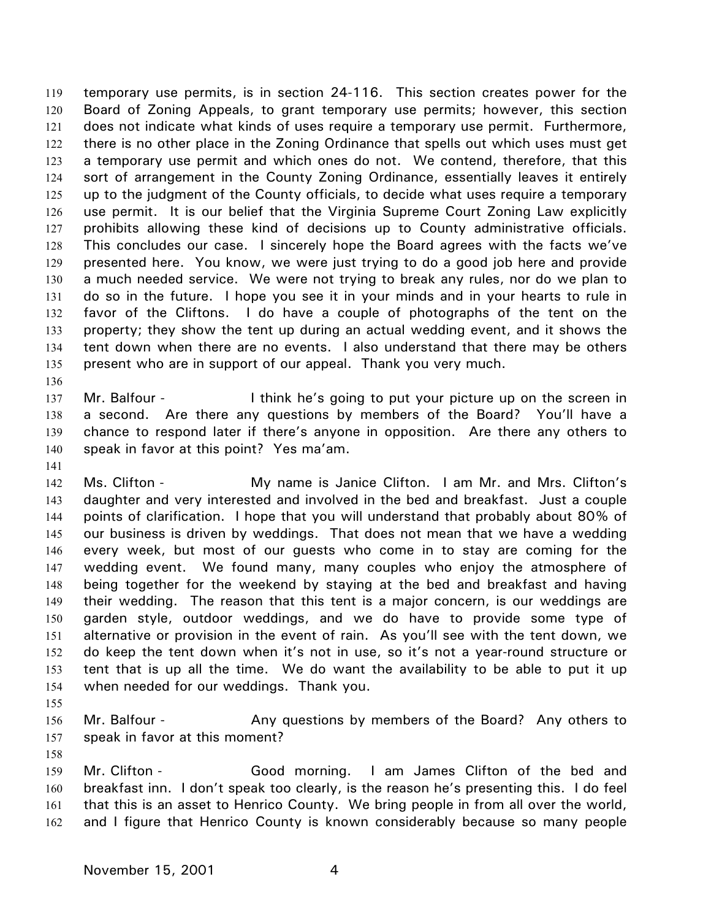temporary use permits, is in section 24-116. This section creates power for the Board of Zoning Appeals, to grant temporary use permits; however, this section does not indicate what kinds of uses require a temporary use permit. Furthermore, there is no other place in the Zoning Ordinance that spells out which uses must get a temporary use permit and which ones do not. We contend, therefore, that this sort of arrangement in the County Zoning Ordinance, essentially leaves it entirely up to the judgment of the County officials, to decide what uses require a temporary use permit. It is our belief that the Virginia Supreme Court Zoning Law explicitly prohibits allowing these kind of decisions up to County administrative officials. This concludes our case. I sincerely hope the Board agrees with the facts we've presented here. You know, we were just trying to do a good job here and provide a much needed service. We were not trying to break any rules, nor do we plan to do so in the future. I hope you see it in your minds and in your hearts to rule in favor of the Cliftons. I do have a couple of photographs of the tent on the property; they show the tent up during an actual wedding event, and it shows the tent down when there are no events. I also understand that there may be others present who are in support of our appeal. Thank you very much. 119 120 121 122 123 124 125 126 127 128 129 130 131 132 133 134 135

137 138 139 140 Mr. Balfour - Think he's going to put your picture up on the screen in a second. Are there any questions by members of the Board? You'll have a chance to respond later if there's anyone in opposition. Are there any others to speak in favor at this point? Yes ma'am.

141

136

142 143 144 145 146 147 148 149 150 151 152 153 154 Ms. Clifton - My name is Janice Clifton. I am Mr. and Mrs. Clifton's daughter and very interested and involved in the bed and breakfast. Just a couple points of clarification. I hope that you will understand that probably about 80% of our business is driven by weddings. That does not mean that we have a wedding every week, but most of our guests who come in to stay are coming for the wedding event. We found many, many couples who enjoy the atmosphere of being together for the weekend by staying at the bed and breakfast and having their wedding. The reason that this tent is a major concern, is our weddings are garden style, outdoor weddings, and we do have to provide some type of alternative or provision in the event of rain. As you'll see with the tent down, we do keep the tent down when it's not in use, so it's not a year-round structure or tent that is up all the time. We do want the availability to be able to put it up when needed for our weddings. Thank you.

155

156 157 Mr. Balfour - **Any questions by members of the Board?** Any others to speak in favor at this moment?

158

159 160 161 162 Mr. Clifton - Good morning. I am James Clifton of the bed and breakfast inn. I don't speak too clearly, is the reason he's presenting this. I do feel that this is an asset to Henrico County. We bring people in from all over the world, and I figure that Henrico County is known considerably because so many people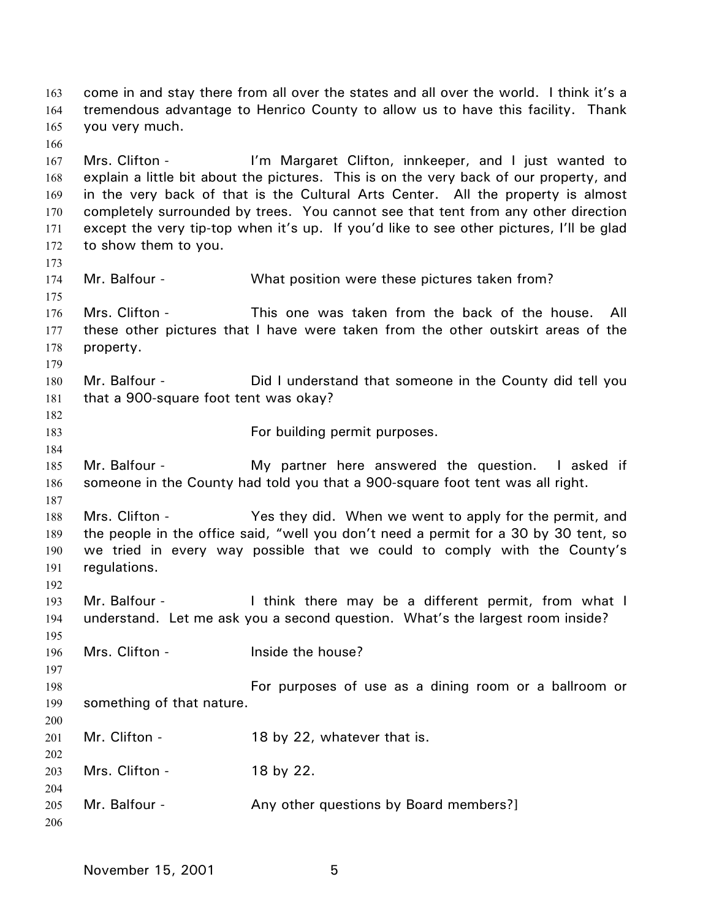come in and stay there from all over the states and all over the world. I think it's a tremendous advantage to Henrico County to allow us to have this facility. Thank you very much. 163 164 165 166 167 168 169 170 171 172 173 174 175 176 177 178 179 180 181 182 183 184 185 186 187 188 189 190 191 192 193 194 195 196 197 198 199 200 201 202 203 204 205 206 Mrs. Clifton - I'm Margaret Clifton, innkeeper, and I just wanted to explain a little bit about the pictures. This is on the very back of our property, and in the very back of that is the Cultural Arts Center. All the property is almost completely surrounded by trees. You cannot see that tent from any other direction except the very tip-top when it's up. If you'd like to see other pictures, I'll be glad to show them to you. Mr. Balfour - What position were these pictures taken from? Mrs. Clifton - This one was taken from the back of the house. All these other pictures that I have were taken from the other outskirt areas of the property. Mr. Balfour - Did I understand that someone in the County did tell you that a 900-square foot tent was okay? For building permit purposes. Mr. Balfour - The My partner here answered the question. I asked if someone in the County had told you that a 900-square foot tent was all right. Mrs. Clifton - Yes they did. When we went to apply for the permit, and the people in the office said, "well you don't need a permit for a 30 by 30 tent, so we tried in every way possible that we could to comply with the County's regulations. Mr. Balfour - Think there may be a different permit, from what I understand. Let me ask you a second question. What's the largest room inside? Mrs. Clifton - This limit is the house? For purposes of use as a dining room or a ballroom or something of that nature. Mr. Clifton - 18 by 22, whatever that is. Mrs. Clifton - 18 by 22. Mr. Balfour - Any other questions by Board members?]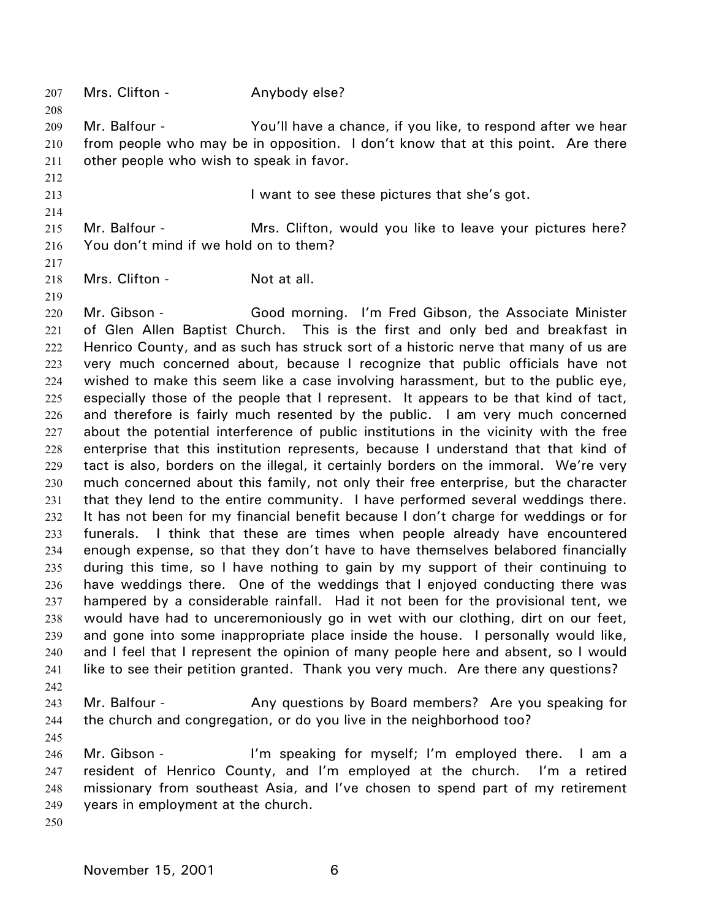| 207<br>208 | Mrs. Clifton -                                                                   | Anybody else?                                                                                                                                                             |  |
|------------|----------------------------------------------------------------------------------|---------------------------------------------------------------------------------------------------------------------------------------------------------------------------|--|
| 209        | Mr. Balfour -                                                                    | You'll have a chance, if you like, to respond after we hear                                                                                                               |  |
| 210        |                                                                                  | from people who may be in opposition. I don't know that at this point. Are there                                                                                          |  |
| 211        | other people who wish to speak in favor.                                         |                                                                                                                                                                           |  |
| 212        |                                                                                  |                                                                                                                                                                           |  |
| 213        |                                                                                  | I want to see these pictures that she's got.                                                                                                                              |  |
| 214        |                                                                                  |                                                                                                                                                                           |  |
| 215        | Mr. Balfour -                                                                    | Mrs. Clifton, would you like to leave your pictures here?                                                                                                                 |  |
| 216        | You don't mind if we hold on to them?                                            |                                                                                                                                                                           |  |
| 217        |                                                                                  |                                                                                                                                                                           |  |
| 218        | Mrs. Clifton -                                                                   | Not at all.                                                                                                                                                               |  |
| 219        |                                                                                  |                                                                                                                                                                           |  |
| 220        | Mr. Gibson -                                                                     | Good morning. I'm Fred Gibson, the Associate Minister                                                                                                                     |  |
| 221        |                                                                                  | of Glen Allen Baptist Church. This is the first and only bed and breakfast in                                                                                             |  |
| 222        |                                                                                  | Henrico County, and as such has struck sort of a historic nerve that many of us are                                                                                       |  |
| 223        |                                                                                  | very much concerned about, because I recognize that public officials have not                                                                                             |  |
| 224<br>225 |                                                                                  | wished to make this seem like a case involving harassment, but to the public eye,<br>especially those of the people that I represent. It appears to be that kind of tact, |  |
| 226        |                                                                                  | and therefore is fairly much resented by the public. I am very much concerned                                                                                             |  |
| 227        |                                                                                  | about the potential interference of public institutions in the vicinity with the free                                                                                     |  |
| 228        |                                                                                  | enterprise that this institution represents, because I understand that that kind of                                                                                       |  |
| 229        |                                                                                  | tact is also, borders on the illegal, it certainly borders on the immoral. We're very                                                                                     |  |
| 230        |                                                                                  | much concerned about this family, not only their free enterprise, but the character                                                                                       |  |
| 231        |                                                                                  | that they lend to the entire community. I have performed several weddings there.                                                                                          |  |
| 232        |                                                                                  | It has not been for my financial benefit because I don't charge for weddings or for                                                                                       |  |
| 233        |                                                                                  | funerals. I think that these are times when people already have encountered                                                                                               |  |
| 234        | enough expense, so that they don't have to have themselves belabored financially |                                                                                                                                                                           |  |
| 235        | during this time, so I have nothing to gain by my support of their continuing to |                                                                                                                                                                           |  |
| 236        | have weddings there. One of the weddings that I enjoyed conducting there was     |                                                                                                                                                                           |  |
| 237        |                                                                                  | hampered by a considerable rainfall. Had it not been for the provisional tent, we                                                                                         |  |
| 238        |                                                                                  | would have had to unceremoniously go in wet with our clothing, dirt on our feet,                                                                                          |  |
| 239        |                                                                                  | and gone into some inappropriate place inside the house. I personally would like,                                                                                         |  |
| 240        |                                                                                  | and I feel that I represent the opinion of many people here and absent, so I would                                                                                        |  |
| 241<br>242 |                                                                                  | like to see their petition granted. Thank you very much. Are there any questions?                                                                                         |  |
| 243        | Mr. Balfour -                                                                    | Any questions by Board members? Are you speaking for                                                                                                                      |  |
| 244        |                                                                                  | the church and congregation, or do you live in the neighborhood too?                                                                                                      |  |
| 245        |                                                                                  |                                                                                                                                                                           |  |
| 246        | Mr. Gibson -                                                                     | I'm speaking for myself; I'm employed there. I am a                                                                                                                       |  |
| 247        |                                                                                  | resident of Henrico County, and I'm employed at the church. I'm a retired                                                                                                 |  |
| 248        |                                                                                  | missionary from southeast Asia, and I've chosen to spend part of my retirement                                                                                            |  |
| 249        | years in employment at the church.                                               |                                                                                                                                                                           |  |
| 250        |                                                                                  |                                                                                                                                                                           |  |
|            |                                                                                  |                                                                                                                                                                           |  |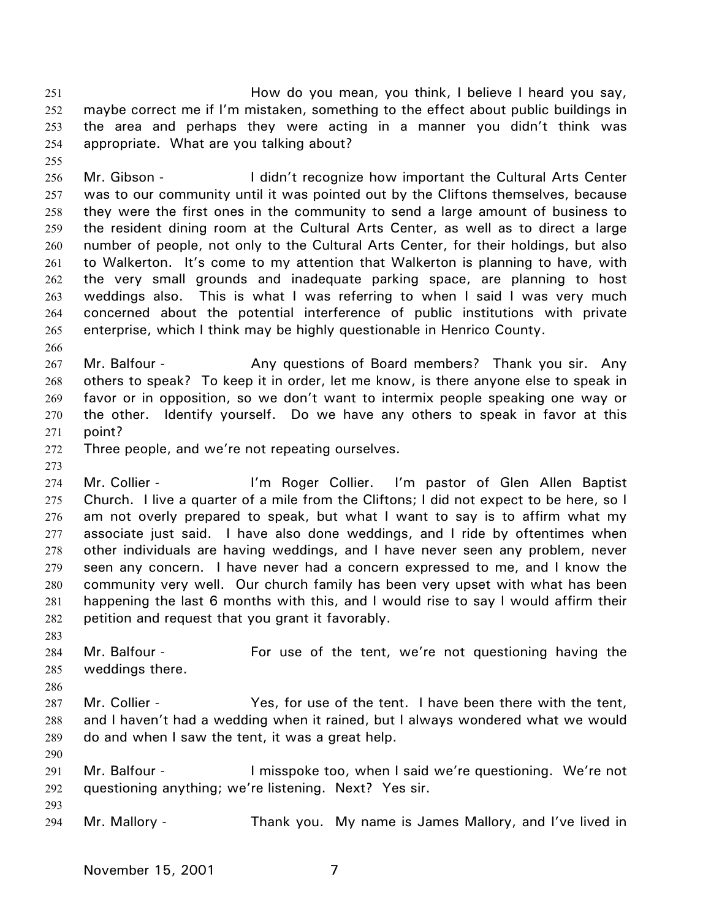How do you mean, you think, I believe I heard you say, maybe correct me if I'm mistaken, something to the effect about public buildings in the area and perhaps they were acting in a manner you didn't think was appropriate. What are you talking about? 251 252 253 254

255

256 257 258 259 260 261 262 263 264 265 Mr. Gibson - The I didn't recognize how important the Cultural Arts Center was to our community until it was pointed out by the Cliftons themselves, because they were the first ones in the community to send a large amount of business to the resident dining room at the Cultural Arts Center, as well as to direct a large number of people, not only to the Cultural Arts Center, for their holdings, but also to Walkerton. It's come to my attention that Walkerton is planning to have, with the very small grounds and inadequate parking space, are planning to host weddings also. This is what I was referring to when I said I was very much concerned about the potential interference of public institutions with private enterprise, which I think may be highly questionable in Henrico County.

266

267 268 269 270 271 Mr. Balfour - **Any questions of Board members?** Thank you sir. Any others to speak? To keep it in order, let me know, is there anyone else to speak in favor or in opposition, so we don't want to intermix people speaking one way or the other. Identify yourself. Do we have any others to speak in favor at this point?

- 272 Three people, and we're not repeating ourselves.
- 273

274 275 276 277 278 279 280 281 Mr. Collier - The Tennis Collier. I'm pastor of Glen Allen Baptist Church. I live a quarter of a mile from the Cliftons; I did not expect to be here, so I am not overly prepared to speak, but what I want to say is to affirm what my associate just said. I have also done weddings, and I ride by oftentimes when other individuals are having weddings, and I have never seen any problem, never seen any concern. I have never had a concern expressed to me, and I know the community very well. Our church family has been very upset with what has been happening the last 6 months with this, and I would rise to say I would affirm their petition and request that you grant it favorably.

282 283

286

284 285 Mr. Balfour - The Tent of the tent, we're not questioning having the weddings there.

- 287 288 289 Mr. Collier - The Yes, for use of the tent. I have been there with the tent, and I haven't had a wedding when it rained, but I always wondered what we would do and when I saw the tent, it was a great help.
- 290

- 291 292 Mr. Balfour - The Musspoke too, when I said we're questioning. We're not questioning anything; we're listening. Next? Yes sir.
- 294 Mr. Mallory - Thank you. My name is James Mallory, and I've lived in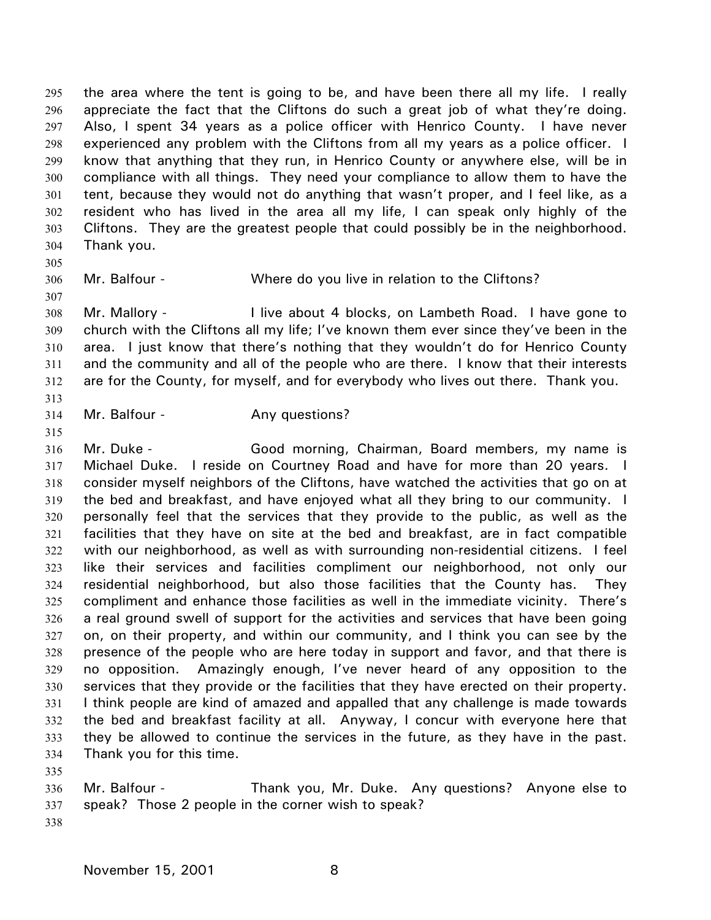the area where the tent is going to be, and have been there all my life. I really appreciate the fact that the Cliftons do such a great job of what they're doing. Also, I spent 34 years as a police officer with Henrico County. I have never experienced any problem with the Cliftons from all my years as a police officer. I know that anything that they run, in Henrico County or anywhere else, will be in compliance with all things. They need your compliance to allow them to have the tent, because they would not do anything that wasn't proper, and I feel like, as a resident who has lived in the area all my life, I can speak only highly of the Cliftons. They are the greatest people that could possibly be in the neighborhood. Thank you. 295 296 297 298 299 300 301 302 303 304

305

307

306

Mr. Balfour - Where do you live in relation to the Cliftons?

308 309 310 311 312 Mr. Mallory - **I** live about 4 blocks, on Lambeth Road. I have gone to church with the Cliftons all my life; I've known them ever since they've been in the area. I just know that there's nothing that they wouldn't do for Henrico County and the community and all of the people who are there. I know that their interests are for the County, for myself, and for everybody who lives out there. Thank you.

313

314 Mr. Balfour - Any questions?

315

316 317 318 319 320 321 322 323 324 325 326 327 328 329 330 331 332 333 334 Mr. Duke - Good morning, Chairman, Board members, my name is Michael Duke. I reside on Courtney Road and have for more than 20 years. I consider myself neighbors of the Cliftons, have watched the activities that go on at the bed and breakfast, and have enjoyed what all they bring to our community. I personally feel that the services that they provide to the public, as well as the facilities that they have on site at the bed and breakfast, are in fact compatible with our neighborhood, as well as with surrounding non-residential citizens. I feel like their services and facilities compliment our neighborhood, not only our residential neighborhood, but also those facilities that the County has. They compliment and enhance those facilities as well in the immediate vicinity. There's a real ground swell of support for the activities and services that have been going on, on their property, and within our community, and I think you can see by the presence of the people who are here today in support and favor, and that there is no opposition. Amazingly enough, I've never heard of any opposition to the services that they provide or the facilities that they have erected on their property. I think people are kind of amazed and appalled that any challenge is made towards the bed and breakfast facility at all. Anyway, I concur with everyone here that they be allowed to continue the services in the future, as they have in the past. Thank you for this time.

335

336 337 Mr. Balfour - Thank you, Mr. Duke. Any questions? Anyone else to speak? Those 2 people in the corner wish to speak?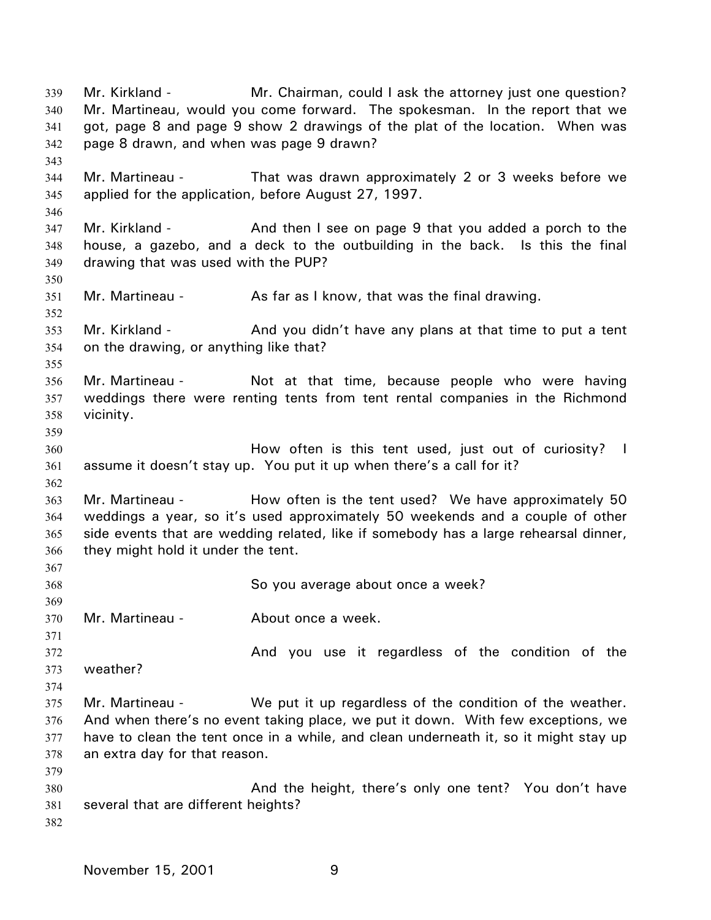Mr. Kirkland - **Mr.** Chairman, could I ask the attorney just one question? Mr. Martineau, would you come forward. The spokesman. In the report that we got, page 8 and page 9 show 2 drawings of the plat of the location. When was page 8 drawn, and when was page 9 drawn? 339 340 341 342 343 344 345 346 347 348 349 350 351 352 353 354 355 356 357 358 359 360 361 362 363 364 365 366 367 368 369 370 371 372 373 374 375 376 377 378 379 380 381 382 Mr. Martineau - That was drawn approximately 2 or 3 weeks before we applied for the application, before August 27, 1997. Mr. Kirkland - **And then I see on page 9 that you added a porch to the** house, a gazebo, and a deck to the outbuilding in the back. Is this the final drawing that was used with the PUP? Mr. Martineau - As far as I know, that was the final drawing. Mr. Kirkland - And you didn't have any plans at that time to put a tent on the drawing, or anything like that? Mr. Martineau - Not at that time, because people who were having weddings there were renting tents from tent rental companies in the Richmond vicinity. How often is this tent used, just out of curiosity? I assume it doesn't stay up. You put it up when there's a call for it? Mr. Martineau - Thow often is the tent used? We have approximately 50 weddings a year, so it's used approximately 50 weekends and a couple of other side events that are wedding related, like if somebody has a large rehearsal dinner, they might hold it under the tent. So you average about once a week? Mr. Martineau - **About once a week.** And you use it regardless of the condition of the weather? Mr. Martineau - We put it up regardless of the condition of the weather. And when there's no event taking place, we put it down. With few exceptions, we have to clean the tent once in a while, and clean underneath it, so it might stay up an extra day for that reason. And the height, there's only one tent? You don't have several that are different heights?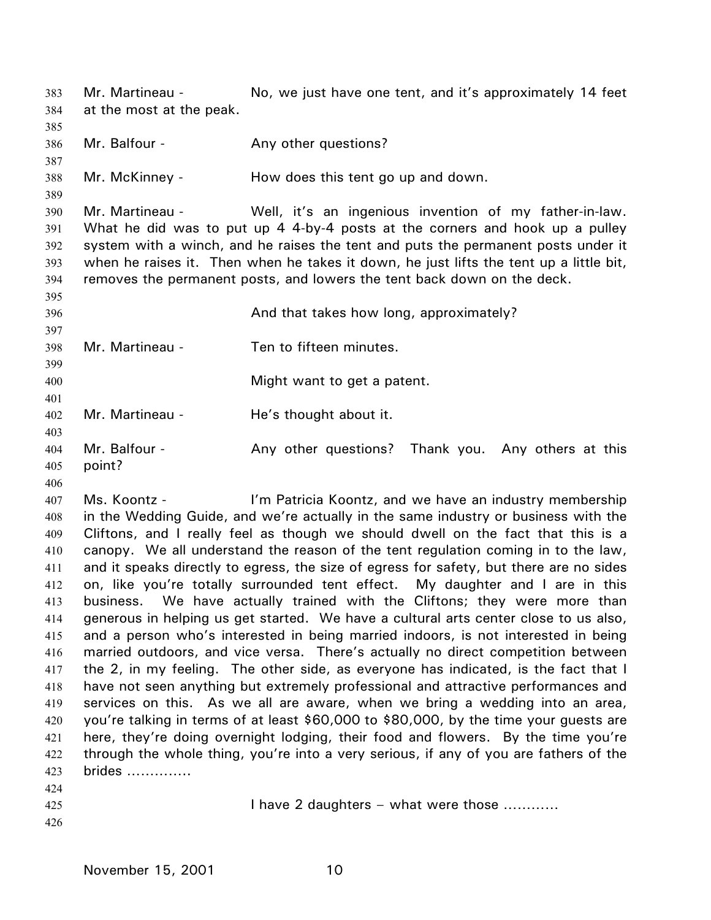Mr. Martineau - No, we just have one tent, and it's approximately 14 feet at the most at the peak. 383 384 385 386 387 388 389 390 391 392 393 394 395 396 397 398 399 400 401 402 403 404 405 406 407 408 409 410 411 412 413 414 415 416 417 418 419 420 421 422 Mr. Balfour - The Any other questions? Mr. McKinney - How does this tent go up and down. Mr. Martineau - Well, it's an ingenious invention of my father-in-law. What he did was to put up 4 4-by-4 posts at the corners and hook up a pulley system with a winch, and he raises the tent and puts the permanent posts under it when he raises it. Then when he takes it down, he just lifts the tent up a little bit, removes the permanent posts, and lowers the tent back down on the deck. And that takes how long, approximately? Mr. Martineau - Ten to fifteen minutes. Might want to get a patent. Mr. Martineau - He's thought about it. Mr. Balfour - Thank You. Any other questions? Thank you. Any others at this point? Ms. Koontz - I'm Patricia Koontz, and we have an industry membership in the Wedding Guide, and we're actually in the same industry or business with the Cliftons, and I really feel as though we should dwell on the fact that this is a canopy. We all understand the reason of the tent regulation coming in to the law, and it speaks directly to egress, the size of egress for safety, but there are no sides on, like you're totally surrounded tent effect. My daughter and I are in this business. We have actually trained with the Cliftons; they were more than generous in helping us get started. We have a cultural arts center close to us also, and a person who's interested in being married indoors, is not interested in being married outdoors, and vice versa. There's actually no direct competition between the 2, in my feeling. The other side, as everyone has indicated, is the fact that I have not seen anything but extremely professional and attractive performances and services on this. As we all are aware, when we bring a wedding into an area, you're talking in terms of at least \$60,000 to \$80,000, by the time your guests are here, they're doing overnight lodging, their food and flowers. By the time you're through the whole thing, you're into a very serious, if any of you are fathers of the brides …………..

- 423 424
- 425

I have 2 daughters – what were those …………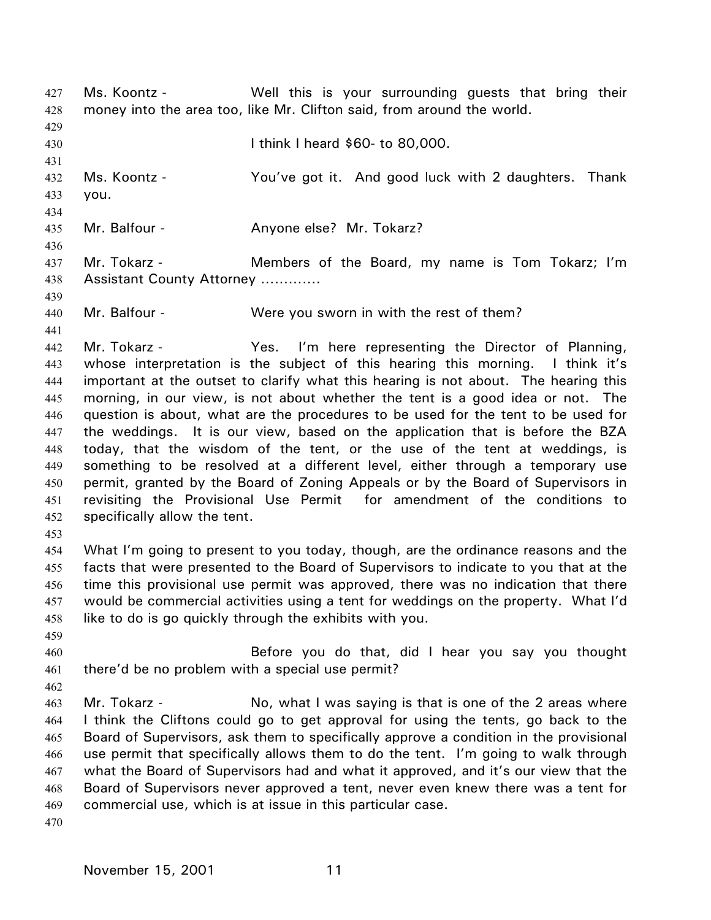Ms. Koontz - The Well this is your surrounding guests that bring their money into the area too, like Mr. Clifton said, from around the world. 427 428 429 430 431 432 433 434 435 436 437 438 439 440 441 442 443 444 445 446 447 448 449 450 451 452 453 454 455 456 457 458 459 460 461 462 463 464 465 466 467 468 469 470 I think I heard \$60- to 80,000. Ms. Koontz - You've got it. And good luck with 2 daughters. Thank you. Mr. Balfour - Anyone else? Mr. Tokarz? Mr. Tokarz - **Members of the Board, my name is Tom Tokarz; I'm** Assistant County Attorney …………. Mr. Balfour - Were you sworn in with the rest of them? Mr. Tokarz - Yes. I'm here representing the Director of Planning, whose interpretation is the subject of this hearing this morning. I think it's important at the outset to clarify what this hearing is not about. The hearing this morning, in our view, is not about whether the tent is a good idea or not. The question is about, what are the procedures to be used for the tent to be used for the weddings. It is our view, based on the application that is before the BZA today, that the wisdom of the tent, or the use of the tent at weddings, is something to be resolved at a different level, either through a temporary use permit, granted by the Board of Zoning Appeals or by the Board of Supervisors in revisiting the Provisional Use Permit for amendment of the conditions to specifically allow the tent. What I'm going to present to you today, though, are the ordinance reasons and the facts that were presented to the Board of Supervisors to indicate to you that at the time this provisional use permit was approved, there was no indication that there would be commercial activities using a tent for weddings on the property. What I'd like to do is go quickly through the exhibits with you. Before you do that, did I hear you say you thought there'd be no problem with a special use permit? Mr. Tokarz - No, what I was saying is that is one of the 2 areas where I think the Cliftons could go to get approval for using the tents, go back to the Board of Supervisors, ask them to specifically approve a condition in the provisional use permit that specifically allows them to do the tent. I'm going to walk through what the Board of Supervisors had and what it approved, and it's our view that the Board of Supervisors never approved a tent, never even knew there was a tent for commercial use, which is at issue in this particular case.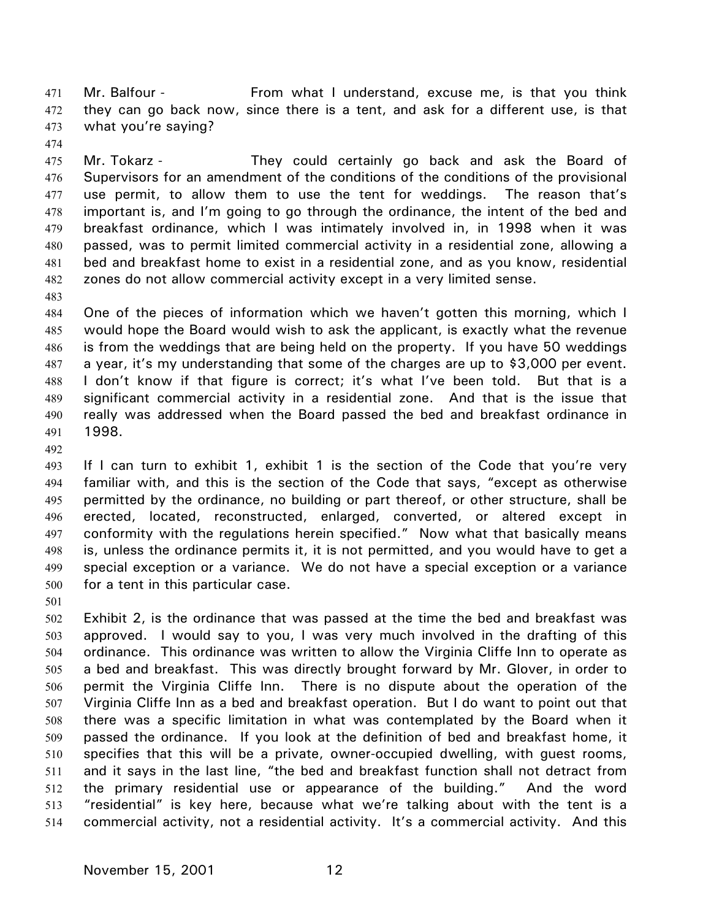Mr. Balfour - From what I understand, excuse me, is that you think they can go back now, since there is a tent, and ask for a different use, is that what you're saying? 471 472 473

474

475 476 477 478 479 480 481 482 Mr. Tokarz - They could certainly go back and ask the Board of Supervisors for an amendment of the conditions of the conditions of the provisional use permit, to allow them to use the tent for weddings. The reason that's important is, and I'm going to go through the ordinance, the intent of the bed and breakfast ordinance, which I was intimately involved in, in 1998 when it was passed, was to permit limited commercial activity in a residential zone, allowing a bed and breakfast home to exist in a residential zone, and as you know, residential zones do not allow commercial activity except in a very limited sense.

483

484 485 486 487 488 489 490 491 One of the pieces of information which we haven't gotten this morning, which I would hope the Board would wish to ask the applicant, is exactly what the revenue is from the weddings that are being held on the property. If you have 50 weddings a year, it's my understanding that some of the charges are up to \$3,000 per event. I don't know if that figure is correct; it's what I've been told. But that is a significant commercial activity in a residential zone. And that is the issue that really was addressed when the Board passed the bed and breakfast ordinance in 1998.

492

493 494 495 496 497 498 499 500 If I can turn to exhibit 1, exhibit 1 is the section of the Code that you're very familiar with, and this is the section of the Code that says, "except as otherwise permitted by the ordinance, no building or part thereof, or other structure, shall be erected, located, reconstructed, enlarged, converted, or altered except in conformity with the regulations herein specified." Now what that basically means is, unless the ordinance permits it, it is not permitted, and you would have to get a special exception or a variance. We do not have a special exception or a variance for a tent in this particular case.

501

502 503 504 505 506 507 508 509 510 511 512 513 514 Exhibit 2, is the ordinance that was passed at the time the bed and breakfast was approved. I would say to you, I was very much involved in the drafting of this ordinance. This ordinance was written to allow the Virginia Cliffe Inn to operate as a bed and breakfast. This was directly brought forward by Mr. Glover, in order to permit the Virginia Cliffe Inn. There is no dispute about the operation of the Virginia Cliffe Inn as a bed and breakfast operation. But I do want to point out that there was a specific limitation in what was contemplated by the Board when it passed the ordinance. If you look at the definition of bed and breakfast home, it specifies that this will be a private, owner-occupied dwelling, with guest rooms, and it says in the last line, "the bed and breakfast function shall not detract from the primary residential use or appearance of the building." And the word "residential" is key here, because what we're talking about with the tent is a commercial activity, not a residential activity. It's a commercial activity. And this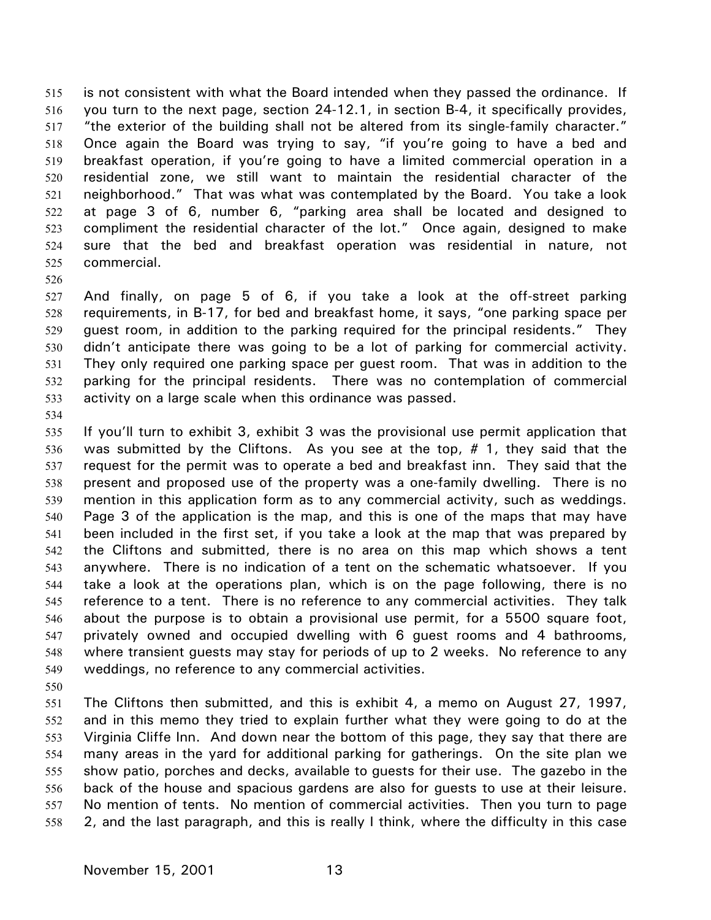is not consistent with what the Board intended when they passed the ordinance. If you turn to the next page, section 24-12.1, in section B-4, it specifically provides, "the exterior of the building shall not be altered from its single-family character." Once again the Board was trying to say, "if you're going to have a bed and breakfast operation, if you're going to have a limited commercial operation in a residential zone, we still want to maintain the residential character of the neighborhood." That was what was contemplated by the Board. You take a look at page 3 of 6, number 6, "parking area shall be located and designed to compliment the residential character of the lot." Once again, designed to make sure that the bed and breakfast operation was residential in nature, not commercial. 515 516 517 518 519 520 521 522 523 524 525

526

527 528 529 530 531 532 533 And finally, on page 5 of 6, if you take a look at the off-street parking requirements, in B-17, for bed and breakfast home, it says, "one parking space per guest room, in addition to the parking required for the principal residents." They didn't anticipate there was going to be a lot of parking for commercial activity. They only required one parking space per guest room. That was in addition to the parking for the principal residents. There was no contemplation of commercial activity on a large scale when this ordinance was passed.

534

535 536 537 538 539 540 541 542 543 544 545 546 547 548 549 If you'll turn to exhibit 3, exhibit 3 was the provisional use permit application that was submitted by the Cliftons. As you see at the top, # 1, they said that the request for the permit was to operate a bed and breakfast inn. They said that the present and proposed use of the property was a one-family dwelling. There is no mention in this application form as to any commercial activity, such as weddings. Page 3 of the application is the map, and this is one of the maps that may have been included in the first set, if you take a look at the map that was prepared by the Cliftons and submitted, there is no area on this map which shows a tent anywhere. There is no indication of a tent on the schematic whatsoever. If you take a look at the operations plan, which is on the page following, there is no reference to a tent. There is no reference to any commercial activities. They talk about the purpose is to obtain a provisional use permit, for a 5500 square foot, privately owned and occupied dwelling with 6 guest rooms and 4 bathrooms, where transient guests may stay for periods of up to 2 weeks. No reference to any weddings, no reference to any commercial activities.

550

551 552 553 554 555 556 557 558 The Cliftons then submitted, and this is exhibit 4, a memo on August 27, 1997, and in this memo they tried to explain further what they were going to do at the Virginia Cliffe Inn. And down near the bottom of this page, they say that there are many areas in the yard for additional parking for gatherings. On the site plan we show patio, porches and decks, available to guests for their use. The gazebo in the back of the house and spacious gardens are also for guests to use at their leisure. No mention of tents. No mention of commercial activities. Then you turn to page 2, and the last paragraph, and this is really I think, where the difficulty in this case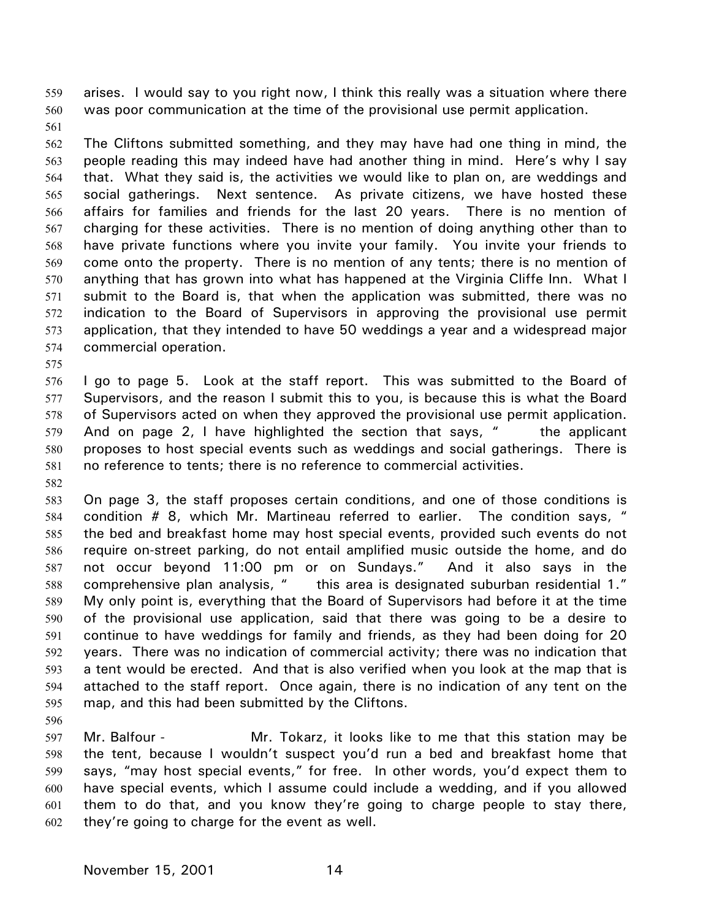arises. I would say to you right now, I think this really was a situation where there was poor communication at the time of the provisional use permit application. 559 560

561

562 563 564 565 566 567 568 569 570 571 572 573 574 The Cliftons submitted something, and they may have had one thing in mind, the people reading this may indeed have had another thing in mind. Here's why I say that. What they said is, the activities we would like to plan on, are weddings and social gatherings. Next sentence. As private citizens, we have hosted these affairs for families and friends for the last 20 years. There is no mention of charging for these activities. There is no mention of doing anything other than to have private functions where you invite your family. You invite your friends to come onto the property. There is no mention of any tents; there is no mention of anything that has grown into what has happened at the Virginia Cliffe Inn. What I submit to the Board is, that when the application was submitted, there was no indication to the Board of Supervisors in approving the provisional use permit application, that they intended to have 50 weddings a year and a widespread major commercial operation.

575

576 577 578 579 580 581 I go to page 5. Look at the staff report. This was submitted to the Board of Supervisors, and the reason I submit this to you, is because this is what the Board of Supervisors acted on when they approved the provisional use permit application. And on page 2, I have highlighted the section that says,  $\mu$  the applicant proposes to host special events such as weddings and social gatherings. There is no reference to tents; there is no reference to commercial activities.

582

583 584 585 586 587 588 589 590 591 592 593 594 595 On page 3, the staff proposes certain conditions, and one of those conditions is condition # 8, which Mr. Martineau referred to earlier. The condition says, " the bed and breakfast home may host special events, provided such events do not require on-street parking, do not entail amplified music outside the home, and do not occur beyond 11:00 pm or on Sundays." And it also says in the comprehensive plan analysis, " this area is designated suburban residential 1." My only point is, everything that the Board of Supervisors had before it at the time of the provisional use application, said that there was going to be a desire to continue to have weddings for family and friends, as they had been doing for 20 years. There was no indication of commercial activity; there was no indication that a tent would be erected. And that is also verified when you look at the map that is attached to the staff report. Once again, there is no indication of any tent on the map, and this had been submitted by the Cliftons.

596

597 598 599 600 601 602 Mr. Balfour - Mr. Tokarz, it looks like to me that this station may be the tent, because I wouldn't suspect you'd run a bed and breakfast home that says, "may host special events," for free. In other words, you'd expect them to have special events, which I assume could include a wedding, and if you allowed them to do that, and you know they're going to charge people to stay there, they're going to charge for the event as well.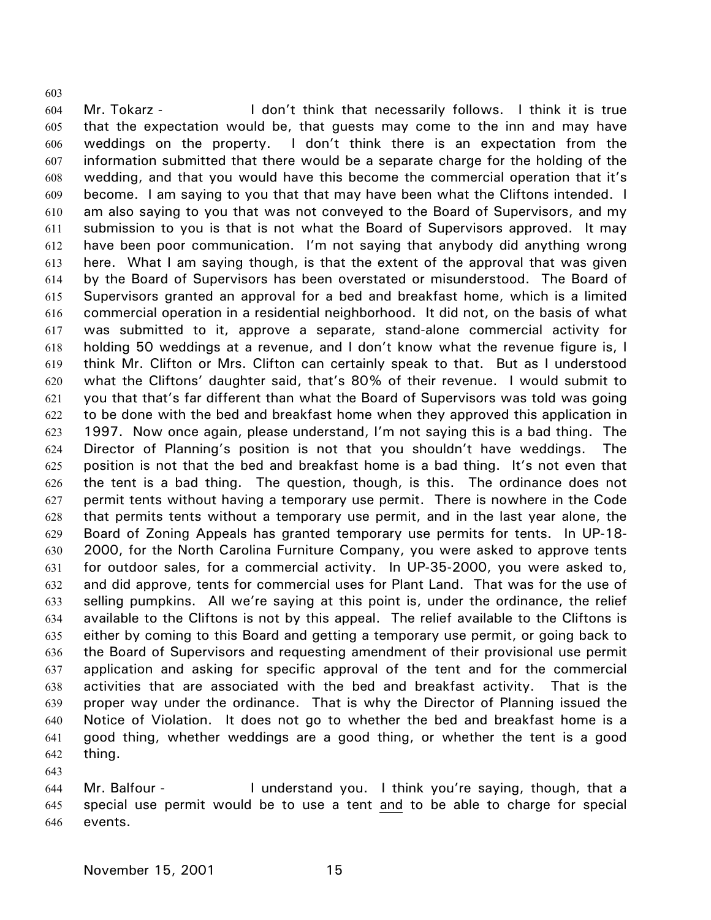604 605 606 607 608 609 610 611 612 613 614 615 616 617 618 619 620 621 622 623 624 625 626 627 628 629 630 631 632 633 634 635 636 637 638 639 640 641 642 Mr. Tokarz - I don't think that necessarily follows. I think it is true that the expectation would be, that guests may come to the inn and may have weddings on the property. I don't think there is an expectation from the information submitted that there would be a separate charge for the holding of the wedding, and that you would have this become the commercial operation that it's become. I am saying to you that that may have been what the Cliftons intended. I am also saying to you that was not conveyed to the Board of Supervisors, and my submission to you is that is not what the Board of Supervisors approved. It may have been poor communication. I'm not saying that anybody did anything wrong here. What I am saying though, is that the extent of the approval that was given by the Board of Supervisors has been overstated or misunderstood. The Board of Supervisors granted an approval for a bed and breakfast home, which is a limited commercial operation in a residential neighborhood. It did not, on the basis of what was submitted to it, approve a separate, stand-alone commercial activity for holding 50 weddings at a revenue, and I don't know what the revenue figure is, I think Mr. Clifton or Mrs. Clifton can certainly speak to that. But as I understood what the Cliftons' daughter said, that's 80% of their revenue. I would submit to you that that's far different than what the Board of Supervisors was told was going to be done with the bed and breakfast home when they approved this application in 1997. Now once again, please understand, I'm not saying this is a bad thing. The Director of Planning's position is not that you shouldn't have weddings. The position is not that the bed and breakfast home is a bad thing. It's not even that the tent is a bad thing. The question, though, is this. The ordinance does not permit tents without having a temporary use permit. There is nowhere in the Code that permits tents without a temporary use permit, and in the last year alone, the Board of Zoning Appeals has granted temporary use permits for tents. In UP-18- 2000, for the North Carolina Furniture Company, you were asked to approve tents for outdoor sales, for a commercial activity. In UP-35-2000, you were asked to, and did approve, tents for commercial uses for Plant Land. That was for the use of selling pumpkins. All we're saying at this point is, under the ordinance, the relief available to the Cliftons is not by this appeal. The relief available to the Cliftons is either by coming to this Board and getting a temporary use permit, or going back to the Board of Supervisors and requesting amendment of their provisional use permit application and asking for specific approval of the tent and for the commercial activities that are associated with the bed and breakfast activity. That is the proper way under the ordinance. That is why the Director of Planning issued the Notice of Violation. It does not go to whether the bed and breakfast home is a good thing, whether weddings are a good thing, or whether the tent is a good thing.

643

603

644 Mr. Balfour - I understand you. I think you're saying, though, that a special use permit would be to use a tent and to be able to charge for special events. 645 646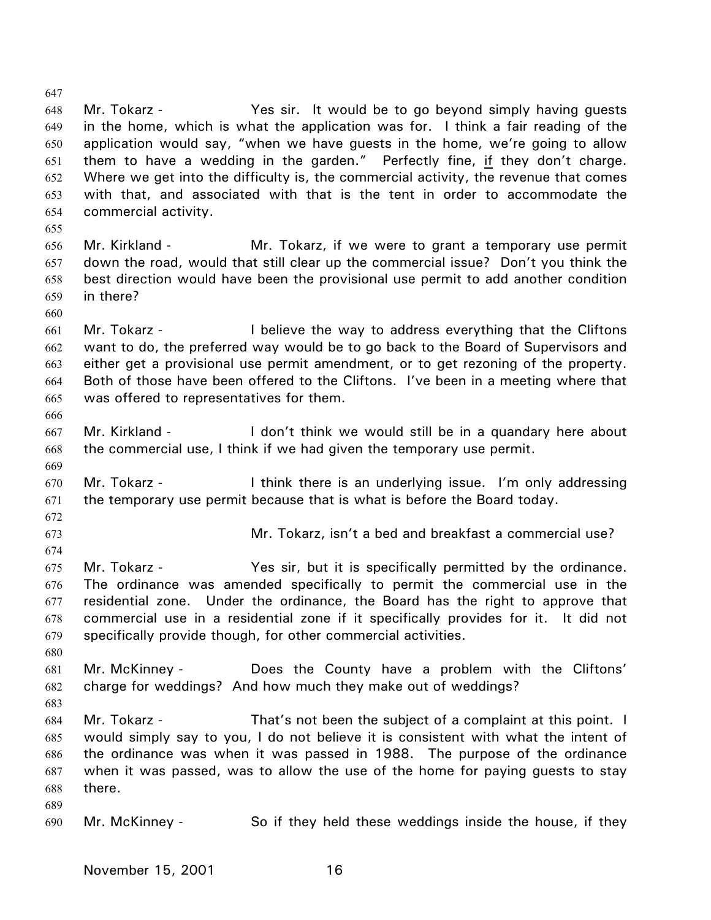648 649 650 Mr. Tokarz - The Yes sir. It would be to go beyond simply having quests in the home, which is what the application was for. I think a fair reading of the application would say, "when we have guests in the home, we're going to allow them to have a wedding in the garden." Perfectly fine, if they don't charge. Where we get into the difficulty is, the commercial activity, the revenue that comes with that, and associated with that is the tent in order to accommodate the commercial activity. 651 652 653 654 655 656 657 658 659 660 661 662 663 664 665 666 667 668 669 670 671 672 673 674 675 676 677 678 679 680 681 682 683 684 685 686 687 688 689 690 Mr. Kirkland - The Mr. Tokarz, if we were to grant a temporary use permit down the road, would that still clear up the commercial issue? Don't you think the best direction would have been the provisional use permit to add another condition in there? Mr. Tokarz - I believe the way to address everything that the Cliftons want to do, the preferred way would be to go back to the Board of Supervisors and either get a provisional use permit amendment, or to get rezoning of the property. Both of those have been offered to the Cliftons. I've been in a meeting where that was offered to representatives for them. Mr. Kirkland - The I don't think we would still be in a quandary here about the commercial use, I think if we had given the temporary use permit. Mr. Tokarz - I think there is an underlying issue. I'm only addressing the temporary use permit because that is what is before the Board today. Mr. Tokarz, isn't a bed and breakfast a commercial use? Mr. Tokarz - The Yes sir, but it is specifically permitted by the ordinance. The ordinance was amended specifically to permit the commercial use in the residential zone. Under the ordinance, the Board has the right to approve that commercial use in a residential zone if it specifically provides for it. It did not specifically provide though, for other commercial activities. Mr. McKinney - Does the County have a problem with the Cliftons' charge for weddings? And how much they make out of weddings? Mr. Tokarz - That's not been the subject of a complaint at this point. I would simply say to you, I do not believe it is consistent with what the intent of the ordinance was when it was passed in 1988. The purpose of the ordinance when it was passed, was to allow the use of the home for paying guests to stay there. Mr. McKinney - So if they held these weddings inside the house, if they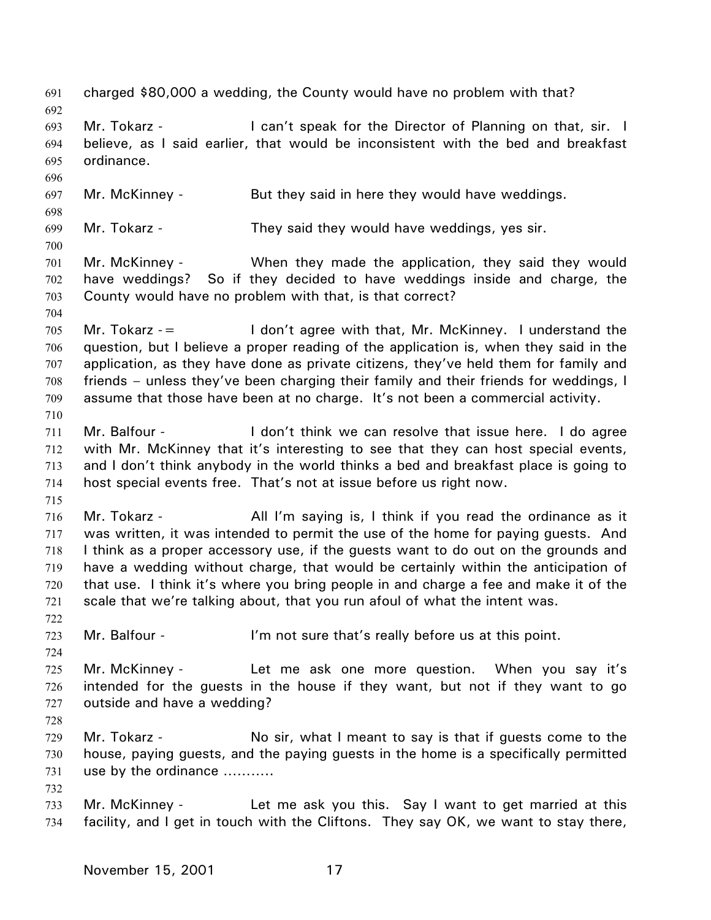691 charged \$80,000 a wedding, the County would have no problem with that? 692 693 694 695 696 697 698 699 700 701 702 703 704 705 706 707 708 709 710 711 712 713 714 715 716 717 718 719 720 721 722 723 724 725 726 727 728 729 730 731 732 733 734 Mr. Tokarz - **I** can't speak for the Director of Planning on that, sir. I believe, as I said earlier, that would be inconsistent with the bed and breakfast ordinance. Mr. McKinney - But they said in here they would have weddings. Mr. Tokarz - They said they would have weddings, yes sir. Mr. McKinney - When they made the application, they said they would have weddings? So if they decided to have weddings inside and charge, the County would have no problem with that, is that correct? Mr. Tokarz  $=$  I don't agree with that, Mr. McKinney. I understand the question, but I believe a proper reading of the application is, when they said in the application, as they have done as private citizens, they've held them for family and friends – unless they've been charging their family and their friends for weddings, I assume that those have been at no charge. It's not been a commercial activity. Mr. Balfour - The lon't think we can resolve that issue here. I do agree with Mr. McKinney that it's interesting to see that they can host special events, and I don't think anybody in the world thinks a bed and breakfast place is going to host special events free. That's not at issue before us right now. Mr. Tokarz - **All I'm saying is, I think if you read the ordinance as it** was written, it was intended to permit the use of the home for paying guests. And I think as a proper accessory use, if the guests want to do out on the grounds and have a wedding without charge, that would be certainly within the anticipation of that use. I think it's where you bring people in and charge a fee and make it of the scale that we're talking about, that you run afoul of what the intent was. Mr. Balfour - The same of the sure that's really before us at this point. Mr. McKinney - Let me ask one more question. When you say it's intended for the guests in the house if they want, but not if they want to go outside and have a wedding? Mr. Tokarz - No sir, what I meant to say is that if guests come to the house, paying guests, and the paying guests in the home is a specifically permitted use by the ordinance ……….. Mr. McKinney - Let me ask you this. Say I want to get married at this facility, and I get in touch with the Cliftons. They say OK, we want to stay there,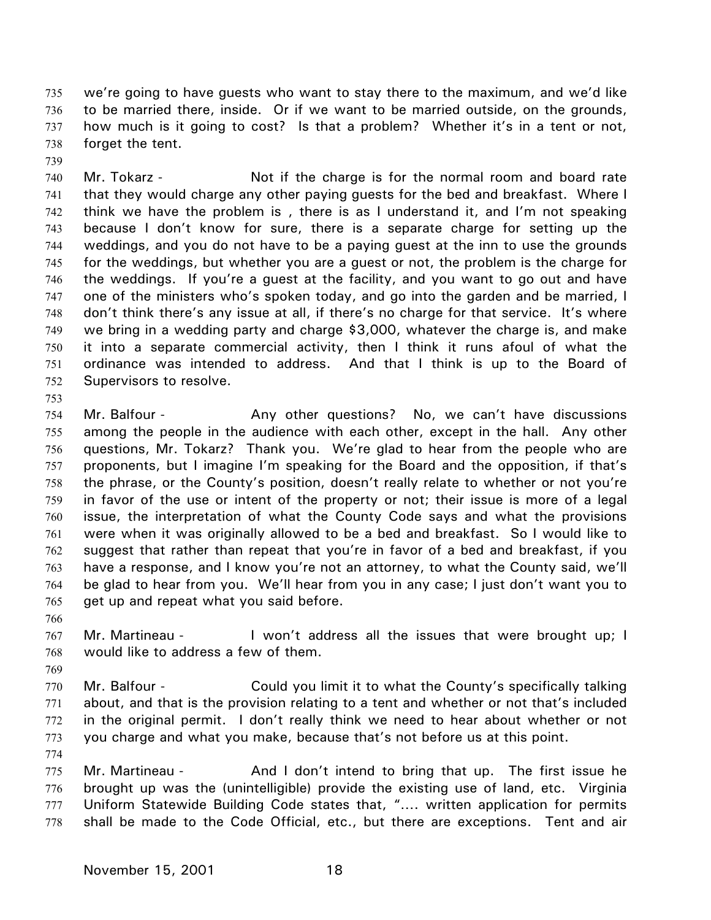we're going to have guests who want to stay there to the maximum, and we'd like to be married there, inside. Or if we want to be married outside, on the grounds, how much is it going to cost? Is that a problem? Whether it's in a tent or not, forget the tent. 735 736 737 738

739

740 741 742 743 744 745 746 747 748 749 750 751 752 Mr. Tokarz - Not if the charge is for the normal room and board rate that they would charge any other paying guests for the bed and breakfast. Where I think we have the problem is , there is as I understand it, and I'm not speaking because I don't know for sure, there is a separate charge for setting up the weddings, and you do not have to be a paying guest at the inn to use the grounds for the weddings, but whether you are a guest or not, the problem is the charge for the weddings. If you're a guest at the facility, and you want to go out and have one of the ministers who's spoken today, and go into the garden and be married, I don't think there's any issue at all, if there's no charge for that service. It's where we bring in a wedding party and charge \$3,000, whatever the charge is, and make it into a separate commercial activity, then I think it runs afoul of what the ordinance was intended to address. And that I think is up to the Board of Supervisors to resolve.

753

754 755 756 757 758 759 760 761 762 763 764 765 Mr. Balfour - Any other questions? No, we can't have discussions among the people in the audience with each other, except in the hall. Any other questions, Mr. Tokarz? Thank you. We're glad to hear from the people who are proponents, but I imagine I'm speaking for the Board and the opposition, if that's the phrase, or the County's position, doesn't really relate to whether or not you're in favor of the use or intent of the property or not; their issue is more of a legal issue, the interpretation of what the County Code says and what the provisions were when it was originally allowed to be a bed and breakfast. So I would like to suggest that rather than repeat that you're in favor of a bed and breakfast, if you have a response, and I know you're not an attorney, to what the County said, we'll be glad to hear from you. We'll hear from you in any case; I just don't want you to get up and repeat what you said before.

766

767 768 Mr. Martineau - I won't address all the issues that were brought up; I would like to address a few of them.

769 770 771 772 773 Mr. Balfour - Could you limit it to what the County's specifically talking about, and that is the provision relating to a tent and whether or not that's included in the original permit. I don't really think we need to hear about whether or not you charge and what you make, because that's not before us at this point.

774 775 776 777 778 Mr. Martineau - And I don't intend to bring that up. The first issue he brought up was the (unintelligible) provide the existing use of land, etc. Virginia Uniform Statewide Building Code states that, "…. written application for permits shall be made to the Code Official, etc., but there are exceptions. Tent and air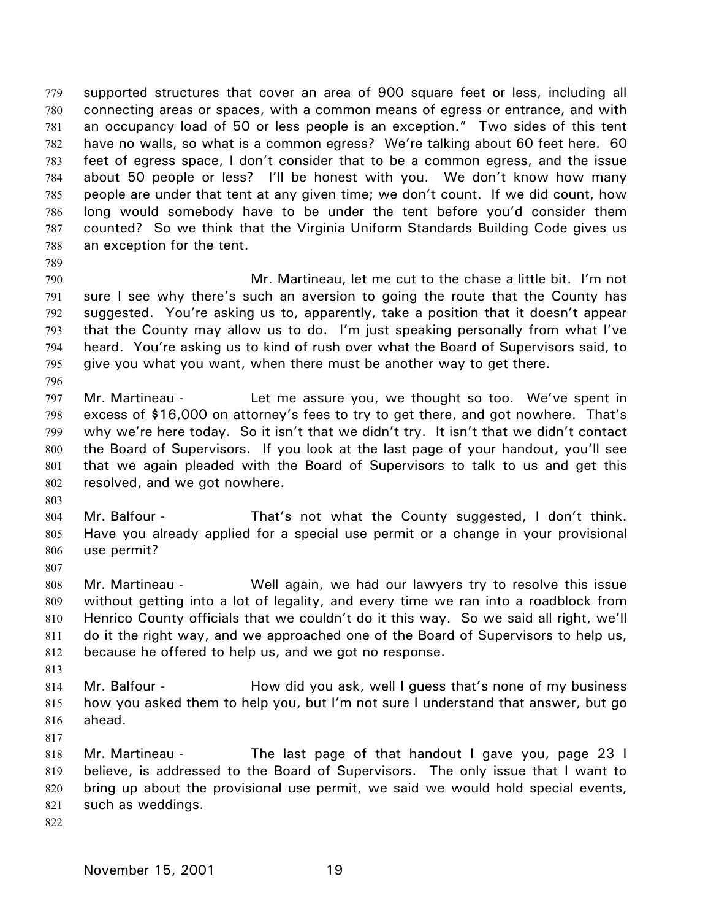supported structures that cover an area of 900 square feet or less, including all connecting areas or spaces, with a common means of egress or entrance, and with an occupancy load of 50 or less people is an exception." Two sides of this tent have no walls, so what is a common egress? We're talking about 60 feet here. 60 feet of egress space, I don't consider that to be a common egress, and the issue about 50 people or less? I'll be honest with you. We don't know how many people are under that tent at any given time; we don't count. If we did count, how long would somebody have to be under the tent before you'd consider them counted? So we think that the Virginia Uniform Standards Building Code gives us an exception for the tent. 779 780 781 782 783 784 785 786 787 788

789

790 791 792 793 794 795 Mr. Martineau, let me cut to the chase a little bit. I'm not sure I see why there's such an aversion to going the route that the County has suggested. You're asking us to, apparently, take a position that it doesn't appear that the County may allow us to do. I'm just speaking personally from what I've heard. You're asking us to kind of rush over what the Board of Supervisors said, to give you what you want, when there must be another way to get there.

797 798 799 800 801 802 Mr. Martineau - Let me assure you, we thought so too. We've spent in excess of \$16,000 on attorney's fees to try to get there, and got nowhere. That's why we're here today. So it isn't that we didn't try. It isn't that we didn't contact the Board of Supervisors. If you look at the last page of your handout, you'll see that we again pleaded with the Board of Supervisors to talk to us and get this resolved, and we got nowhere.

803

796

- 804 805 806 Mr. Balfour - That's not what the County suggested, I don't think. Have you already applied for a special use permit or a change in your provisional use permit?
- 807

808 809 810 811 812 Mr. Martineau - Well again, we had our lawyers try to resolve this issue without getting into a lot of legality, and every time we ran into a roadblock from Henrico County officials that we couldn't do it this way. So we said all right, we'll do it the right way, and we approached one of the Board of Supervisors to help us, because he offered to help us, and we got no response.

813

814 815 816 Mr. Balfour - **How did you ask, well I guess that's none of my business** how you asked them to help you, but I'm not sure I understand that answer, but go ahead.

817

818 819 820 821 Mr. Martineau - The last page of that handout I gave you, page 23 I believe, is addressed to the Board of Supervisors. The only issue that I want to bring up about the provisional use permit, we said we would hold special events, such as weddings.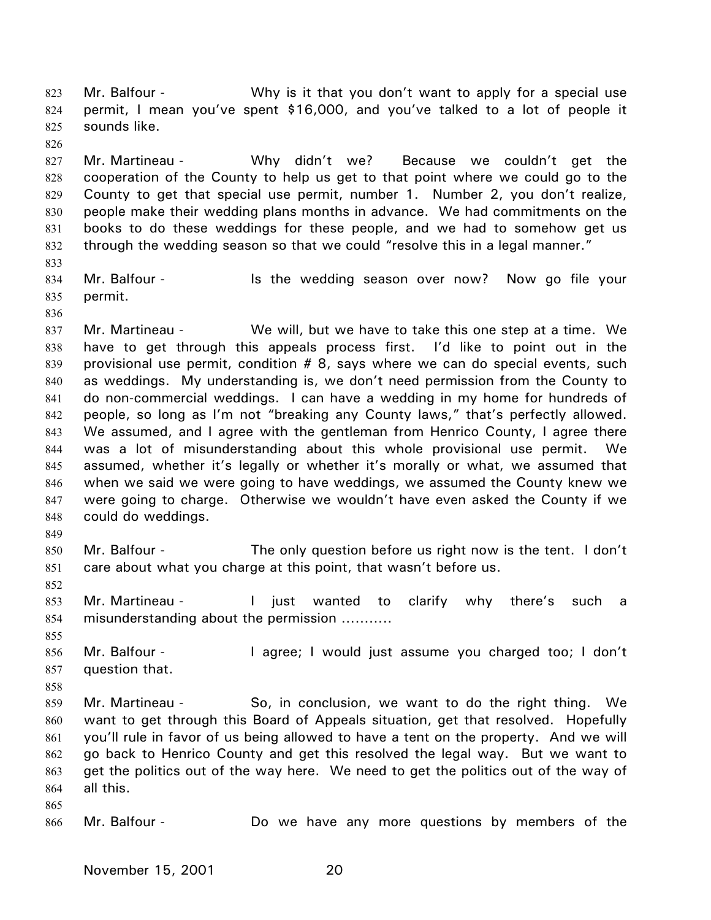Mr. Balfour - **Why is it that you don't want to apply for a special use** permit, I mean you've spent \$16,000, and you've talked to a lot of people it sounds like. 823 824 825

827 828 829 830 831 832 Mr. Martineau - Why didn't we? Because we couldn't get the cooperation of the County to help us get to that point where we could go to the County to get that special use permit, number 1. Number 2, you don't realize, people make their wedding plans months in advance. We had commitments on the books to do these weddings for these people, and we had to somehow get us through the wedding season so that we could "resolve this in a legal manner."

833

826

834 835 Mr. Balfour - The is the wedding season over now? Now go file your permit.

836

837 838 839 840 841 842 843 844 845 846 847 848 Mr. Martineau - We will, but we have to take this one step at a time. We have to get through this appeals process first. I'd like to point out in the provisional use permit, condition # 8, says where we can do special events, such as weddings. My understanding is, we don't need permission from the County to do non-commercial weddings. I can have a wedding in my home for hundreds of people, so long as I'm not "breaking any County laws," that's perfectly allowed. We assumed, and I agree with the gentleman from Henrico County, I agree there was a lot of misunderstanding about this whole provisional use permit. We assumed, whether it's legally or whether it's morally or what, we assumed that when we said we were going to have weddings, we assumed the County knew we were going to charge. Otherwise we wouldn't have even asked the County if we could do weddings.

850 851 Mr. Balfour - The only question before us right now is the tent. I don't care about what you charge at this point, that wasn't before us.

852

855

858

865

849

853 854 Mr. Martineau - The interty wanted to clarify why there's such a misunderstanding about the permission ………..

856 857 Mr. Balfour - The agree; I would just assume you charged too; I don't question that.

859 860 861 862 863 864 Mr. Martineau - So, in conclusion, we want to do the right thing. We want to get through this Board of Appeals situation, get that resolved. Hopefully you'll rule in favor of us being allowed to have a tent on the property. And we will go back to Henrico County and get this resolved the legal way. But we want to get the politics out of the way here. We need to get the politics out of the way of all this.

866 Mr. Balfour - Do we have any more questions by members of the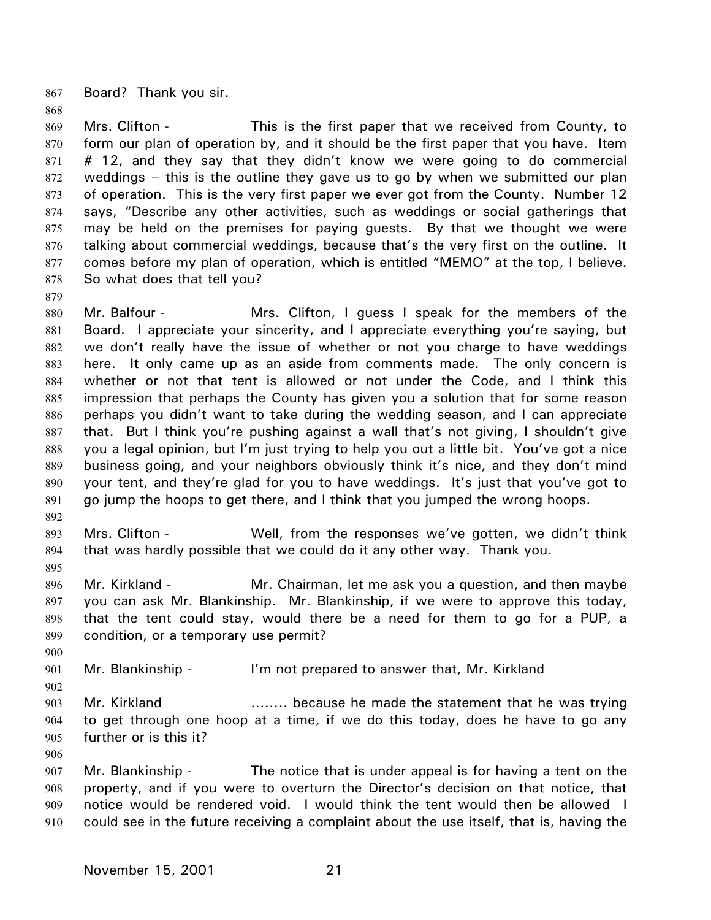867 Board? Thank you sir.

868

879

892

869 870 871 872 873 874 875 876 877 878 Mrs. Clifton - This is the first paper that we received from County, to form our plan of operation by, and it should be the first paper that you have. Item # 12, and they say that they didn't know we were going to do commercial weddings – this is the outline they gave us to go by when we submitted our plan of operation. This is the very first paper we ever got from the County. Number 12 says, "Describe any other activities, such as weddings or social gatherings that may be held on the premises for paying guests. By that we thought we were talking about commercial weddings, because that's the very first on the outline. It comes before my plan of operation, which is entitled "MEMO" at the top, I believe. So what does that tell you?

880 881 882 883 884 885 886 887 888 889 890 891 Mr. Balfour - Mrs. Clifton, I guess I speak for the members of the Board. I appreciate your sincerity, and I appreciate everything you're saying, but we don't really have the issue of whether or not you charge to have weddings here. It only came up as an aside from comments made. The only concern is whether or not that tent is allowed or not under the Code, and I think this impression that perhaps the County has given you a solution that for some reason perhaps you didn't want to take during the wedding season, and I can appreciate that. But I think you're pushing against a wall that's not giving, I shouldn't give you a legal opinion, but I'm just trying to help you out a little bit. You've got a nice business going, and your neighbors obviously think it's nice, and they don't mind your tent, and they're glad for you to have weddings. It's just that you've got to go jump the hoops to get there, and I think that you jumped the wrong hoops.

- 893 894 Mrs. Clifton - Well, from the responses we've gotten, we didn't think that was hardly possible that we could do it any other way. Thank you.
- 895 896 897 898 899 Mr. Kirkland - Mr. Chairman, let me ask you a question, and then maybe you can ask Mr. Blankinship. Mr. Blankinship, if we were to approve this today, that the tent could stay, would there be a need for them to go for a PUP, a condition, or a temporary use permit?

901 Mr. Blankinship - I'm not prepared to answer that, Mr. Kirkland

- 903 904 905 Mr. Kirkland **EXALLET 2018** ........ because he made the statement that he was trying to get through one hoop at a time, if we do this today, does he have to go any further or is this it?
- 906

900

902

907 908 909 910 Mr. Blankinship - The notice that is under appeal is for having a tent on the property, and if you were to overturn the Director's decision on that notice, that notice would be rendered void. I would think the tent would then be allowed I could see in the future receiving a complaint about the use itself, that is, having the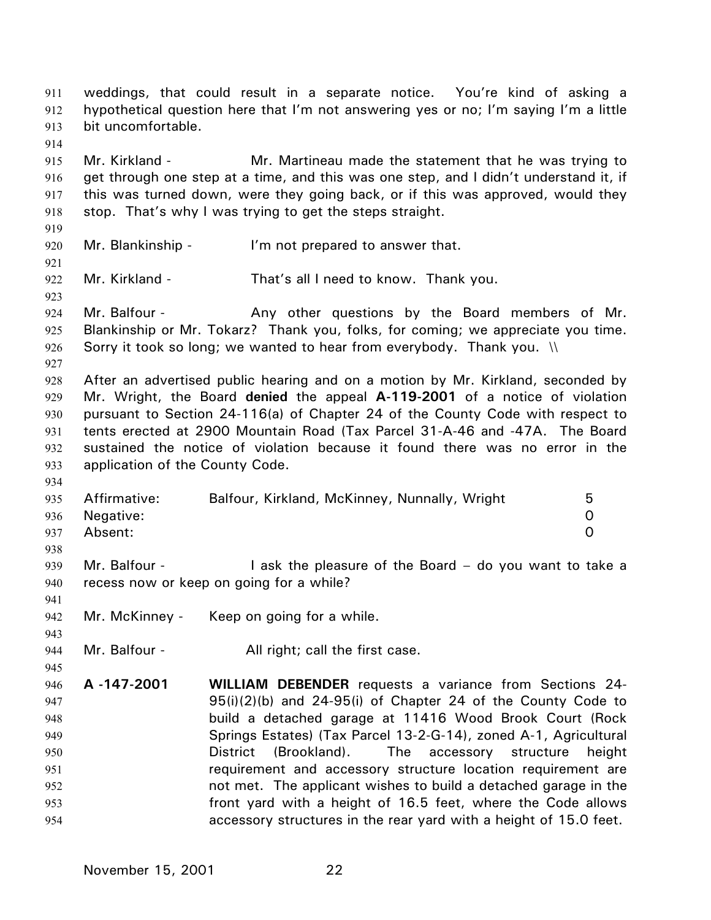weddings, that could result in a separate notice. You're kind of asking a hypothetical question here that I'm not answering yes or no; I'm saying I'm a little bit uncomfortable. 911 912 913

915 916 917 918 Mr. Kirkland - Mr. Martineau made the statement that he was trying to get through one step at a time, and this was one step, and I didn't understand it, if this was turned down, were they going back, or if this was approved, would they stop. That's why I was trying to get the steps straight.

920 Mr. Blankinship - I'm not prepared to answer that.

914

919

921

923

927

934

938

941

943

945

922 Mr. Kirkland - That's all I need to know. Thank you.

924 925 926 Mr. Balfour - The Any other questions by the Board members of Mr. Blankinship or Mr. Tokarz? Thank you, folks, for coming; we appreciate you time. Sorry it took so long; we wanted to hear from everybody. Thank you.  $\mathcal{N}$ 

928 929 930 931 932 933 After an advertised public hearing and on a motion by Mr. Kirkland, seconded by Mr. Wright, the Board **denied** the appeal **A-119-2001** of a notice of violation pursuant to Section 24-116(a) of Chapter 24 of the County Code with respect to tents erected at 2900 Mountain Road (Tax Parcel 31-A-46 and -47A. The Board sustained the notice of violation because it found there was no error in the application of the County Code.

| 935 Affirmative: | Balfour, Kirkland, McKinney, Nunnally, Wright | 5 |
|------------------|-----------------------------------------------|---|
| 936 Negative:    |                                               |   |
| 937 Absent:      |                                               |   |

939 940 Mr. Balfour -  $\blacksquare$  I ask the pleasure of the Board – do you want to take a recess now or keep on going for a while?

942 Mr. McKinney - Keep on going for a while.

944 Mr. Balfour - All right; call the first case.

946 947 948 949 950 951 952 953 954 **A -147-2001 WILLIAM DEBENDER** requests a variance from Sections 24- 95(i)(2)(b) and 24-95(i) of Chapter 24 of the County Code to build a detached garage at 11416 Wood Brook Court (Rock Springs Estates) (Tax Parcel 13-2-G-14), zoned A-1, Agricultural District (Brookland). The accessory structure height requirement and accessory structure location requirement are not met. The applicant wishes to build a detached garage in the front yard with a height of 16.5 feet, where the Code allows accessory structures in the rear yard with a height of 15.0 feet.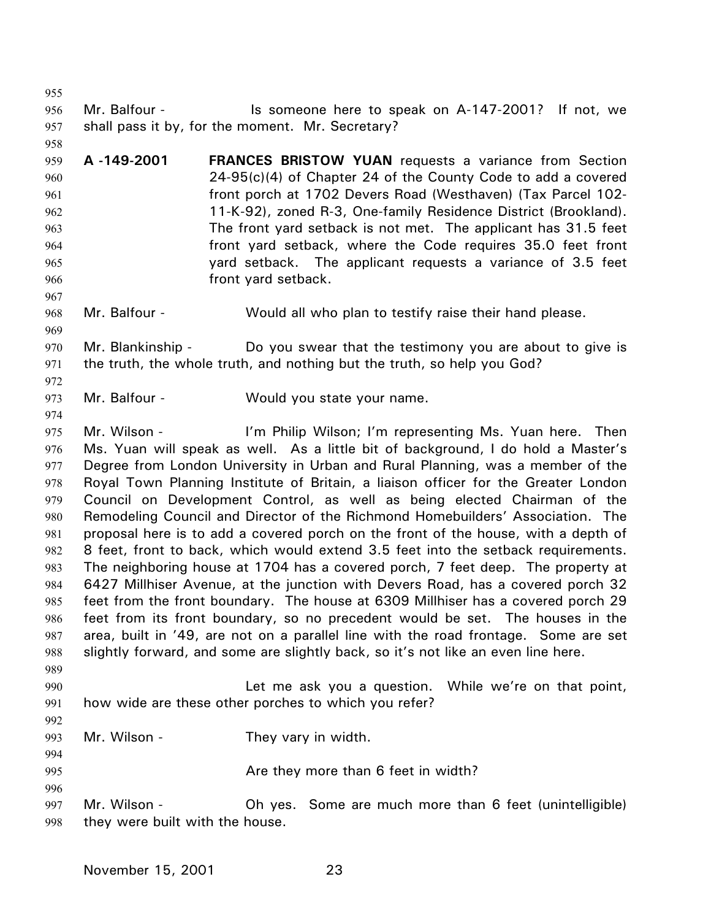955 956 957 Mr. Balfour - The Sumeone here to speak on A-147-2001? If not, we shall pass it by, for the moment. Mr. Secretary?

959 960 961 962 963 964 965 966 **A -149-2001 FRANCES BRISTOW YUAN** requests a variance from Section 24-95(c)(4) of Chapter 24 of the County Code to add a covered front porch at 1702 Devers Road (Westhaven) (Tax Parcel 102- 11-K-92), zoned R-3, One-family Residence District (Brookland). The front yard setback is not met. The applicant has 31.5 feet front yard setback, where the Code requires 35.0 feet front yard setback. The applicant requests a variance of 3.5 feet front yard setback.

968 Mr. Balfour - **Would all who plan to testify raise their hand please.** 

970 971 Mr. Blankinship - Do you swear that the testimony you are about to give is the truth, the whole truth, and nothing but the truth, so help you God?

973 Mr. Balfour - Would you state your name.

975 976 977 978 979 980 981 982 983 984 985 986 987 988 989 Mr. Wilson - I'm Philip Wilson; I'm representing Ms. Yuan here. Then Ms. Yuan will speak as well. As a little bit of background, I do hold a Master's Degree from London University in Urban and Rural Planning, was a member of the Royal Town Planning Institute of Britain, a liaison officer for the Greater London Council on Development Control, as well as being elected Chairman of the Remodeling Council and Director of the Richmond Homebuilders' Association. The proposal here is to add a covered porch on the front of the house, with a depth of 8 feet, front to back, which would extend 3.5 feet into the setback requirements. The neighboring house at 1704 has a covered porch, 7 feet deep. The property at 6427 Millhiser Avenue, at the junction with Devers Road, has a covered porch 32 feet from the front boundary. The house at 6309 Millhiser has a covered porch 29 feet from its front boundary, so no precedent would be set. The houses in the area, built in '49, are not on a parallel line with the road frontage. Some are set slightly forward, and some are slightly back, so it's not like an even line here.

990 991 992 Let me ask you a question. While we're on that point, how wide are these other porches to which you refer?

993 Mr. Wilson - They vary in width.

994 995

996

958

967

969

972

- Are they more than 6 feet in width?
- 997 998 Mr. Wilson - **Oh yes.** Some are much more than 6 feet (unintelligible) they were built with the house.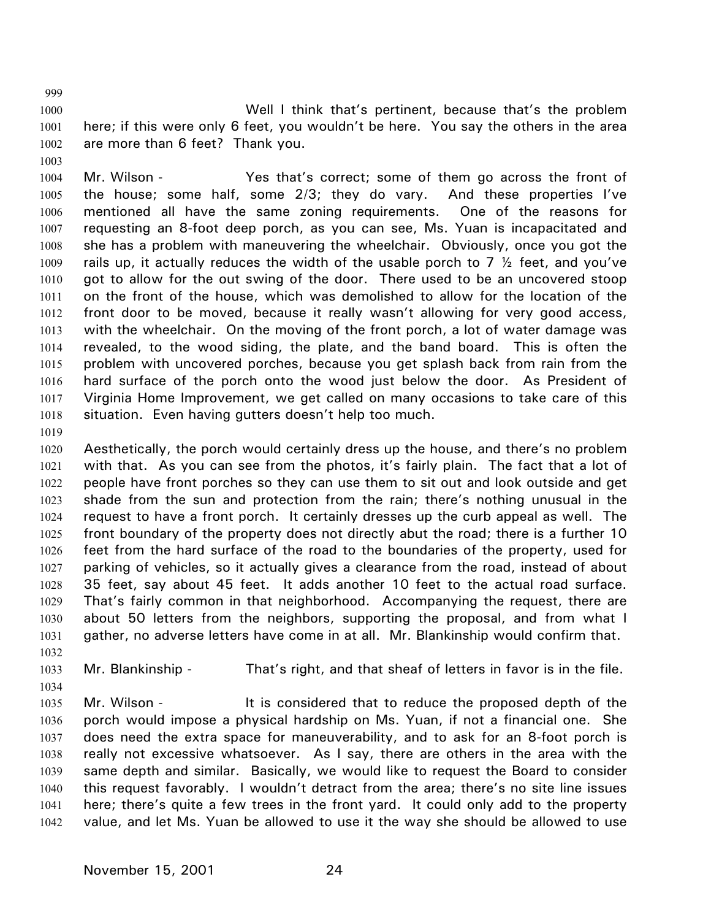1000 1001 1002 Well I think that's pertinent, because that's the problem here; if this were only 6 feet, you wouldn't be here. You say the others in the area are more than 6 feet? Thank you.

1003

999

1004 1005 1006 1007 1008 1009 1010 1011 1012 1013 1014 1015 1016 1017 1018 Mr. Wilson - The Yes that's correct; some of them go across the front of the house; some half, some 2/3; they do vary. And these properties I've mentioned all have the same zoning requirements. One of the reasons for requesting an 8-foot deep porch, as you can see, Ms. Yuan is incapacitated and she has a problem with maneuvering the wheelchair. Obviously, once you got the rails up, it actually reduces the width of the usable porch to 7  $\frac{1}{2}$  feet, and you've got to allow for the out swing of the door. There used to be an uncovered stoop on the front of the house, which was demolished to allow for the location of the front door to be moved, because it really wasn't allowing for very good access, with the wheelchair. On the moving of the front porch, a lot of water damage was revealed, to the wood siding, the plate, and the band board. This is often the problem with uncovered porches, because you get splash back from rain from the hard surface of the porch onto the wood just below the door. As President of Virginia Home Improvement, we get called on many occasions to take care of this situation. Even having gutters doesn't help too much.

1019

1034

1020 1021 1022 1023 1024 1025 1026 1027 1028 1029 1030 1031 1032 Aesthetically, the porch would certainly dress up the house, and there's no problem with that. As you can see from the photos, it's fairly plain. The fact that a lot of people have front porches so they can use them to sit out and look outside and get shade from the sun and protection from the rain; there's nothing unusual in the request to have a front porch. It certainly dresses up the curb appeal as well. The front boundary of the property does not directly abut the road; there is a further 10 feet from the hard surface of the road to the boundaries of the property, used for parking of vehicles, so it actually gives a clearance from the road, instead of about 35 feet, say about 45 feet. It adds another 10 feet to the actual road surface. That's fairly common in that neighborhood. Accompanying the request, there are about 50 letters from the neighbors, supporting the proposal, and from what I gather, no adverse letters have come in at all. Mr. Blankinship would confirm that.

1033 Mr. Blankinship - That's right, and that sheaf of letters in favor is in the file.

1035 1036 1037 1038 1039 1040 1041 1042 Mr. Wilson - It is considered that to reduce the proposed depth of the porch would impose a physical hardship on Ms. Yuan, if not a financial one. She does need the extra space for maneuverability, and to ask for an 8-foot porch is really not excessive whatsoever. As I say, there are others in the area with the same depth and similar. Basically, we would like to request the Board to consider this request favorably. I wouldn't detract from the area; there's no site line issues here; there's quite a few trees in the front yard. It could only add to the property value, and let Ms. Yuan be allowed to use it the way she should be allowed to use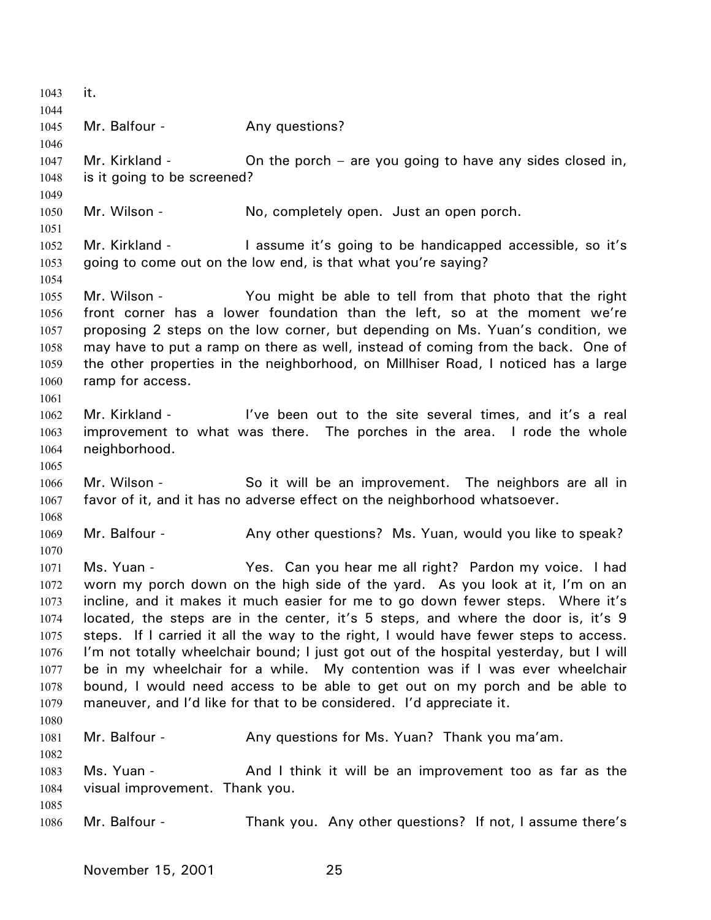1043 it. 1044 1045 1046 1047 1048 1049 1050 1051 1052 1053 1054 1055 1056 1057 1058 1059 1060 1061 1062 1063 1064 1065 1066 1067 1068 1069 1070 1071 1072 1073 1074 1075 1076 1077 1078 1079 1080 1081 1082 1083 1084 1085 1086 Mr. Balfour - Any questions? Mr. Kirkland - **On the porch** – are you going to have any sides closed in, is it going to be screened? Mr. Wilson - No, completely open. Just an open porch. Mr. Kirkland - The same it's going to be handicapped accessible, so it's going to come out on the low end, is that what you're saying? Mr. Wilson - You might be able to tell from that photo that the right front corner has a lower foundation than the left, so at the moment we're proposing 2 steps on the low corner, but depending on Ms. Yuan's condition, we may have to put a ramp on there as well, instead of coming from the back. One of the other properties in the neighborhood, on Millhiser Road, I noticed has a large ramp for access. Mr. Kirkland - I've been out to the site several times, and it's a real improvement to what was there. The porches in the area. I rode the whole neighborhood. Mr. Wilson - So it will be an improvement. The neighbors are all in favor of it, and it has no adverse effect on the neighborhood whatsoever. Mr. Balfour - Any other questions? Ms. Yuan, would you like to speak? Ms. Yuan - The State Yes. Can you hear me all right? Pardon my voice. I had worn my porch down on the high side of the yard. As you look at it, I'm on an incline, and it makes it much easier for me to go down fewer steps. Where it's located, the steps are in the center, it's 5 steps, and where the door is, it's 9 steps. If I carried it all the way to the right, I would have fewer steps to access. I'm not totally wheelchair bound; I just got out of the hospital yesterday, but I will be in my wheelchair for a while. My contention was if I was ever wheelchair bound, I would need access to be able to get out on my porch and be able to maneuver, and I'd like for that to be considered. I'd appreciate it. Mr. Balfour - Any questions for Ms. Yuan? Thank you ma'am. Ms. Yuan - The And I think it will be an improvement too as far as the visual improvement. Thank you. Mr. Balfour - Thank you. Any other questions? If not, I assume there's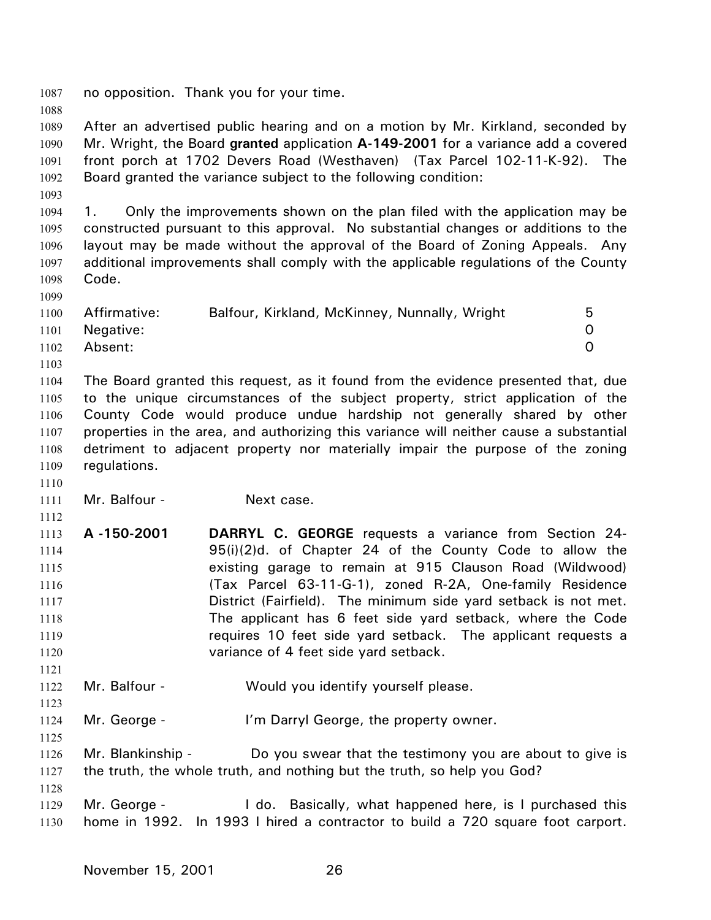1087 no opposition. Thank you for your time. 1088 1089 1090 1091 1092 1093 1094 1095 1096 1097 1098 1099 1100 1101 1102 1103 1104 1105 1106 1107 1108 1109 1110 1111 1112 1113 1114 1115 1116 1117 1118 1119 1120 1121 1122 1123 1124 1125 1126 1127 1128 1129 1130 After an advertised public hearing and on a motion by Mr. Kirkland, seconded by Mr. Wright, the Board **granted** application **A-149-2001** for a variance add a covered front porch at 1702 Devers Road (Westhaven) (Tax Parcel 102-11-K-92). The Board granted the variance subject to the following condition: 1. Only the improvements shown on the plan filed with the application may be constructed pursuant to this approval. No substantial changes or additions to the layout may be made without the approval of the Board of Zoning Appeals. Any additional improvements shall comply with the applicable regulations of the County Code. Affirmative: Balfour, Kirkland, McKinney, Nunnally, Wright 5 Negative: 0 Absent: 0 The Board granted this request, as it found from the evidence presented that, due to the unique circumstances of the subject property, strict application of the County Code would produce undue hardship not generally shared by other properties in the area, and authorizing this variance will neither cause a substantial detriment to adjacent property nor materially impair the purpose of the zoning regulations. Mr. Balfour - Next case. **A -150-2001 DARRYL C. GEORGE** requests a variance from Section 24- 95(i)(2)d. of Chapter 24 of the County Code to allow the existing garage to remain at 915 Clauson Road (Wildwood) (Tax Parcel 63-11-G-1), zoned R-2A, One-family Residence District (Fairfield). The minimum side yard setback is not met. The applicant has 6 feet side yard setback, where the Code requires 10 feet side yard setback. The applicant requests a variance of 4 feet side yard setback. Mr. Balfour - Would you identify yourself please. Mr. George - I'm Darryl George, the property owner. Mr. Blankinship - Do you swear that the testimony you are about to give is the truth, the whole truth, and nothing but the truth, so help you God? Mr. George - I do. Basically, what happened here, is I purchased this home in 1992. In 1993 I hired a contractor to build a 720 square foot carport.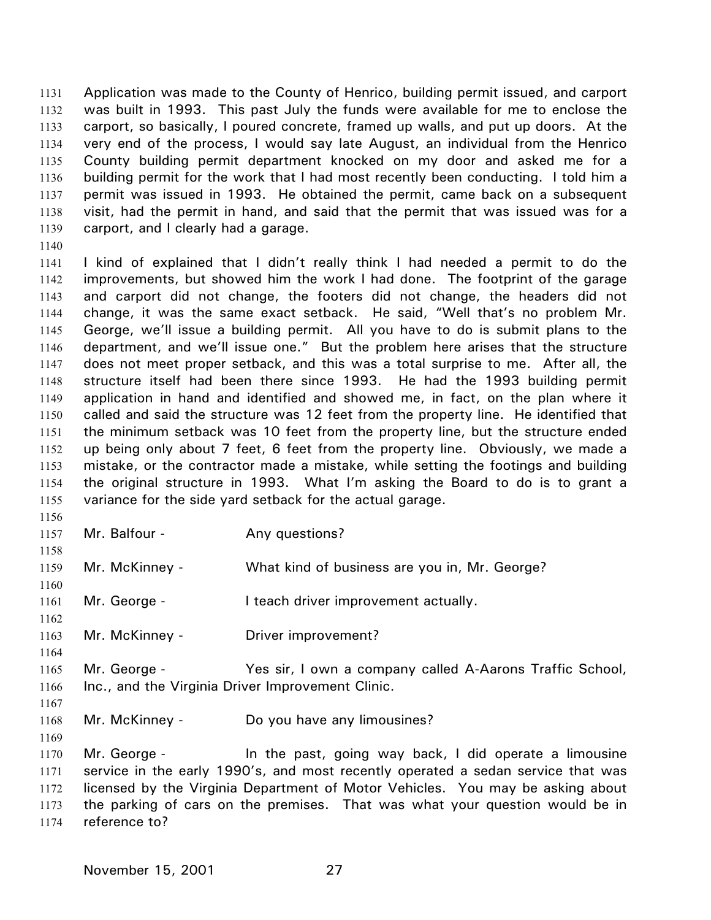Application was made to the County of Henrico, building permit issued, and carport was built in 1993. This past July the funds were available for me to enclose the carport, so basically, I poured concrete, framed up walls, and put up doors. At the very end of the process, I would say late August, an individual from the Henrico County building permit department knocked on my door and asked me for a building permit for the work that I had most recently been conducting. I told him a permit was issued in 1993. He obtained the permit, came back on a subsequent visit, had the permit in hand, and said that the permit that was issued was for a carport, and I clearly had a garage. 1131 1132 1133 1134 1135 1136 1137 1138 1139

- 1141 1142 1143 1144 1145 1146 1147 1148 1149 1150 1151 1152 1153 1154 1155 I kind of explained that I didn't really think I had needed a permit to do the improvements, but showed him the work I had done. The footprint of the garage and carport did not change, the footers did not change, the headers did not change, it was the same exact setback. He said, "Well that's no problem Mr. George, we'll issue a building permit. All you have to do is submit plans to the department, and we'll issue one." But the problem here arises that the structure does not meet proper setback, and this was a total surprise to me. After all, the structure itself had been there since 1993. He had the 1993 building permit application in hand and identified and showed me, in fact, on the plan where it called and said the structure was 12 feet from the property line. He identified that the minimum setback was 10 feet from the property line, but the structure ended up being only about 7 feet, 6 feet from the property line. Obviously, we made a mistake, or the contractor made a mistake, while setting the footings and building the original structure in 1993. What I'm asking the Board to do is to grant a variance for the side yard setback for the actual garage.
- 1156 1157

1158

1160

1162

1164

1140

Mr. Balfour - Any questions?

1159 Mr. McKinney - What kind of business are you in, Mr. George?

1161 Mr. George - The Leach driver improvement actually.

1163 Mr. McKinney - Driver improvement?

- 1165 1166 Mr. George - The Yes sir, I own a company called A-Aarons Traffic School, Inc., and the Virginia Driver Improvement Clinic.
- 1167

1168 Mr. McKinney - Do you have any limousines?

1169

1170 1171 1172 1173 1174 Mr. George - The the past, going way back, I did operate a limousine service in the early 1990's, and most recently operated a sedan service that was licensed by the Virginia Department of Motor Vehicles. You may be asking about the parking of cars on the premises. That was what your question would be in reference to?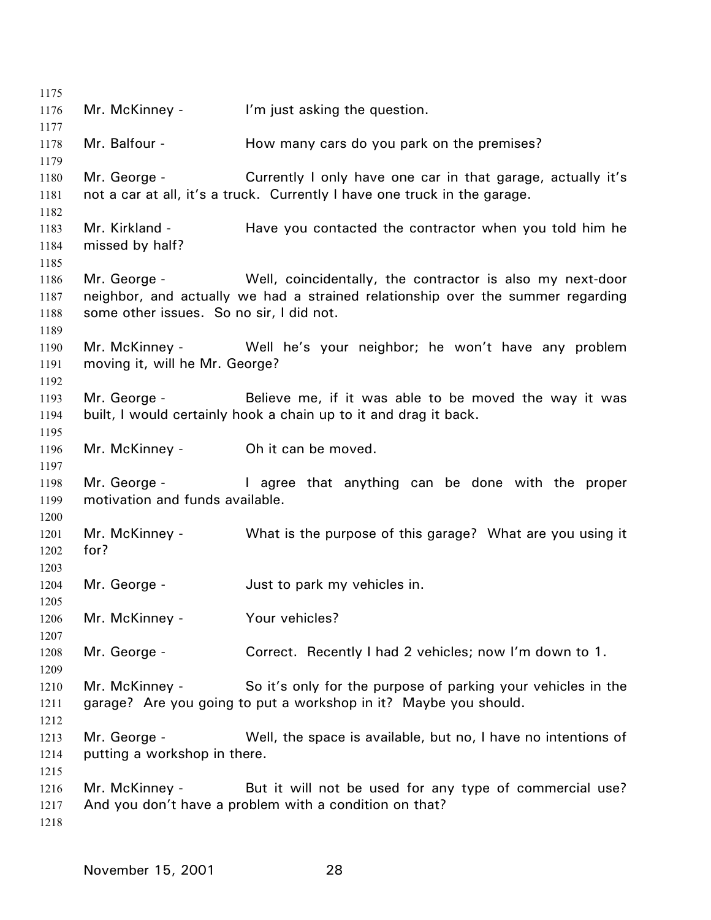Mr. McKinney - I'm just asking the question. Mr. Balfour - The How many cars do you park on the premises? Mr. George - Currently I only have one car in that garage, actually it's not a car at all, it's a truck. Currently I have one truck in the garage. Mr. Kirkland - Have you contacted the contractor when you told him he missed by half? Mr. George - Well, coincidentally, the contractor is also my next-door neighbor, and actually we had a strained relationship over the summer regarding some other issues. So no sir, I did not. Mr. McKinney - Well he's your neighbor; he won't have any problem moving it, will he Mr. George? Mr. George - Believe me, if it was able to be moved the way it was built, I would certainly hook a chain up to it and drag it back. Mr. McKinney - Oh it can be moved. Mr. George - The agree that anything can be done with the proper motivation and funds available. Mr. McKinney - What is the purpose of this garage? What are you using it for? Mr. George - The Just to park my vehicles in. Mr. McKinney - Your vehicles? Mr. George - Correct. Recently I had 2 vehicles; now I'm down to 1. Mr. McKinney - So it's only for the purpose of parking your vehicles in the garage? Are you going to put a workshop in it? Maybe you should. Mr. George - Well, the space is available, but no, I have no intentions of putting a workshop in there. Mr. McKinney - But it will not be used for any type of commercial use? And you don't have a problem with a condition on that?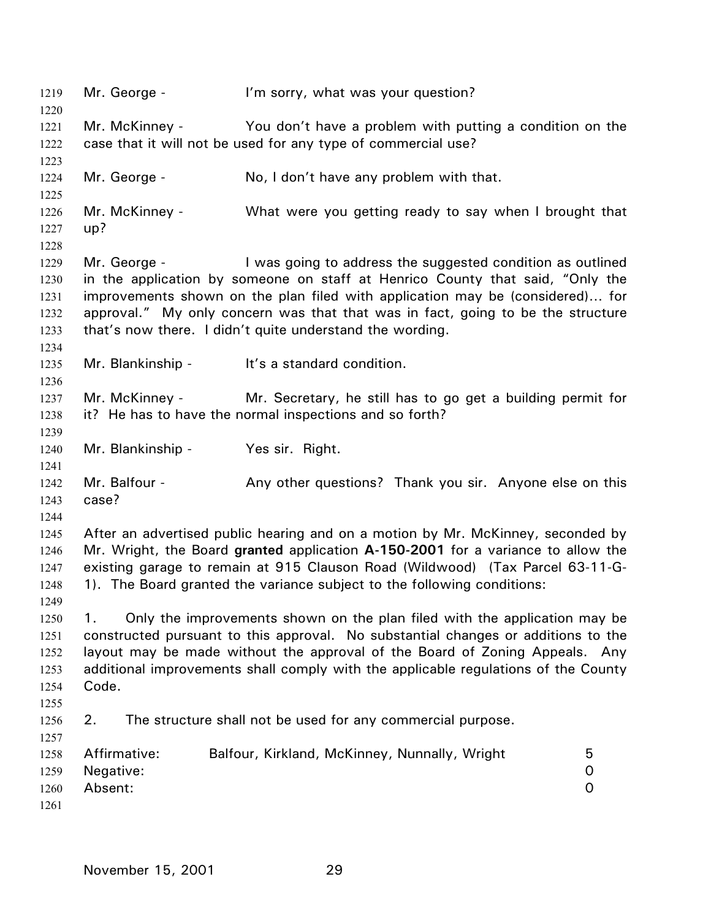1219 Mr. George - I'm sorry, what was your question? 1220 1221 1222 1223 1224 1225 1226 1227 1228 1229 1230 1231 1232 1233 1234 1235 1236 1237 1238 1239 1240 1241 1242 1243 1244 1245 1246 1247 1248 1249 1250 1251 1252 1253 1254 1255 1256 1257 1258 1259 1260 1261 Mr. McKinney - You don't have a problem with putting a condition on the case that it will not be used for any type of commercial use? Mr. George - No, I don't have any problem with that. Mr. McKinney - What were you getting ready to say when I brought that up? Mr. George - Twas going to address the suggested condition as outlined in the application by someone on staff at Henrico County that said, "Only the improvements shown on the plan filed with application may be (considered)… for approval." My only concern was that that was in fact, going to be the structure that's now there. I didn't quite understand the wording. Mr. Blankinship - It's a standard condition. Mr. McKinney - Mr. Secretary, he still has to go get a building permit for it? He has to have the normal inspections and so forth? Mr. Blankinship - Yes sir. Right. Mr. Balfour - Any other questions? Thank you sir. Anyone else on this case? After an advertised public hearing and on a motion by Mr. McKinney, seconded by Mr. Wright, the Board **granted** application **A-150-2001** for a variance to allow the existing garage to remain at 915 Clauson Road (Wildwood) (Tax Parcel 63-11-G-1). The Board granted the variance subject to the following conditions: 1. Only the improvements shown on the plan filed with the application may be constructed pursuant to this approval. No substantial changes or additions to the layout may be made without the approval of the Board of Zoning Appeals. Any additional improvements shall comply with the applicable regulations of the County Code. 2. The structure shall not be used for any commercial purpose. Affirmative: Balfour, Kirkland, McKinney, Nunnally, Wright 5 Negative: 0 Absent: 0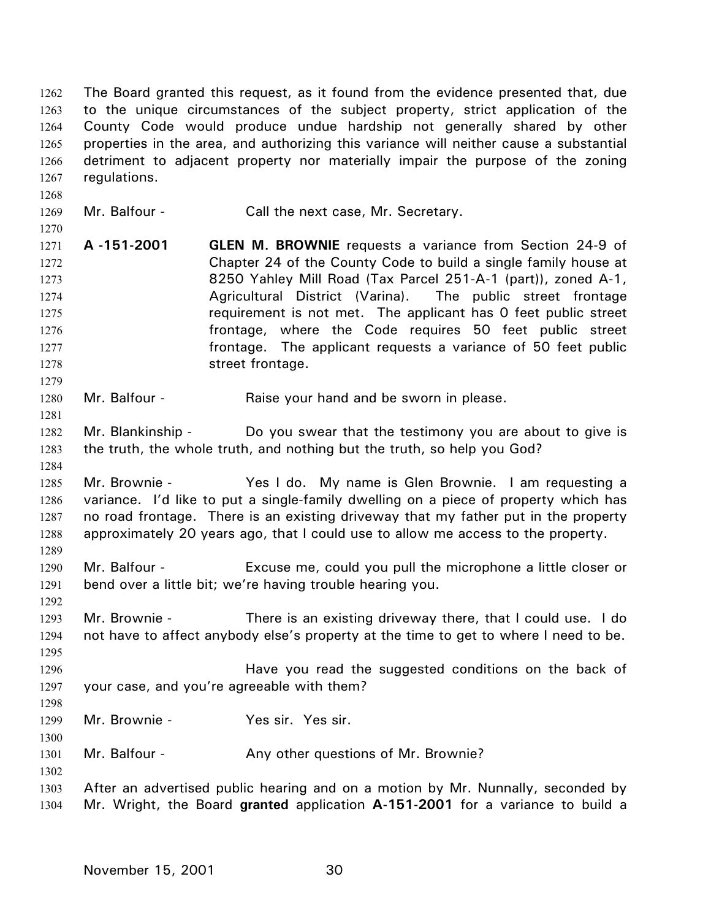The Board granted this request, as it found from the evidence presented that, due to the unique circumstances of the subject property, strict application of the County Code would produce undue hardship not generally shared by other properties in the area, and authorizing this variance will neither cause a substantial detriment to adjacent property nor materially impair the purpose of the zoning regulations. 1262 1263 1264 1265 1266 1267 1268 1269 1270 1271 1272 1273 1274 1275 1276 1277 1278 1279 1280 1281 1282 1283 1284 1285 1286 1287 1288 1289 1290 1291 1292 1293 1294 1295 1296 1297 1298 1299 1300 1301 1302 1303 Mr. Balfour - Call the next case, Mr. Secretary. **A -151-2001 GLEN M. BROWNIE** requests a variance from Section 24-9 of Chapter 24 of the County Code to build a single family house at 8250 Yahley Mill Road (Tax Parcel 251-A-1 (part)), zoned A-1, Agricultural District (Varina). The public street frontage requirement is not met. The applicant has 0 feet public street frontage, where the Code requires 50 feet public street frontage. The applicant requests a variance of 50 feet public street frontage. Mr. Balfour - Raise your hand and be sworn in please. Mr. Blankinship - Do you swear that the testimony you are about to give is the truth, the whole truth, and nothing but the truth, so help you God? Mr. Brownie - The Yes I do. My name is Glen Brownie. I am requesting a variance. I'd like to put a single-family dwelling on a piece of property which has no road frontage. There is an existing driveway that my father put in the property approximately 20 years ago, that I could use to allow me access to the property. Mr. Balfour - Excuse me, could you pull the microphone a little closer or bend over a little bit; we're having trouble hearing you. Mr. Brownie - There is an existing driveway there, that I could use. I do not have to affect anybody else's property at the time to get to where I need to be. Have you read the suggested conditions on the back of your case, and you're agreeable with them? Mr. Brownie - Yes sir. Yes sir. Mr. Balfour - Any other questions of Mr. Brownie? After an advertised public hearing and on a motion by Mr. Nunnally, seconded by

1304 Mr. Wright, the Board **granted** application **A-151-2001** for a variance to build a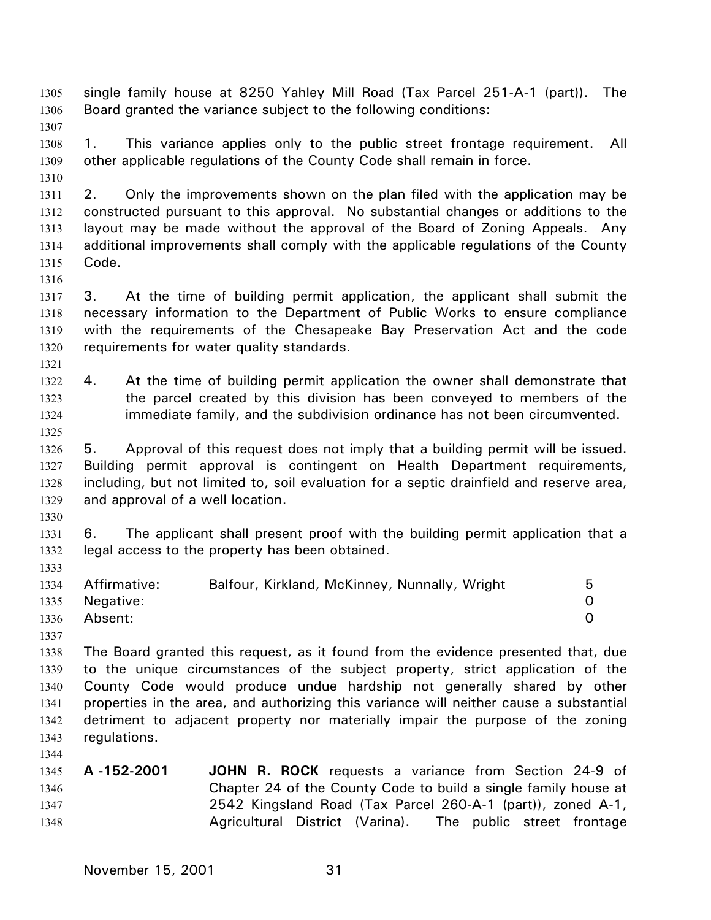single family house at 8250 Yahley Mill Road (Tax Parcel 251-A-1 (part)). The Board granted the variance subject to the following conditions: 1305 1306 1307 1308 1309 1310 1311 1312 1313 1314 1315 1316 1317 1318 1319 1320 1321 1322 1323 1324 1325 1326 1327 1328 1329 1330 1331 1332 1333 1334 1335 1336 1337 1338 1339 1340 1341 1342 1343 1344 1345 1346 1347 1348 1. This variance applies only to the public street frontage requirement. All other applicable regulations of the County Code shall remain in force. 2. Only the improvements shown on the plan filed with the application may be constructed pursuant to this approval. No substantial changes or additions to the layout may be made without the approval of the Board of Zoning Appeals. Any additional improvements shall comply with the applicable regulations of the County Code. 3. At the time of building permit application, the applicant shall submit the necessary information to the Department of Public Works to ensure compliance with the requirements of the Chesapeake Bay Preservation Act and the code requirements for water quality standards. 4. At the time of building permit application the owner shall demonstrate that the parcel created by this division has been conveyed to members of the immediate family, and the subdivision ordinance has not been circumvented. 5. Approval of this request does not imply that a building permit will be issued. Building permit approval is contingent on Health Department requirements, including, but not limited to, soil evaluation for a septic drainfield and reserve area, and approval of a well location. 6. The applicant shall present proof with the building permit application that a legal access to the property has been obtained. Affirmative: Balfour, Kirkland, McKinney, Nunnally, Wright 5 Negative: 0 Absent: 0 The Board granted this request, as it found from the evidence presented that, due to the unique circumstances of the subject property, strict application of the County Code would produce undue hardship not generally shared by other properties in the area, and authorizing this variance will neither cause a substantial detriment to adjacent property nor materially impair the purpose of the zoning regulations. **A -152-2001 JOHN R. ROCK** requests a variance from Section 24-9 of Chapter 24 of the County Code to build a single family house at 2542 Kingsland Road (Tax Parcel 260-A-1 (part)), zoned A-1, Agricultural District (Varina). The public street frontage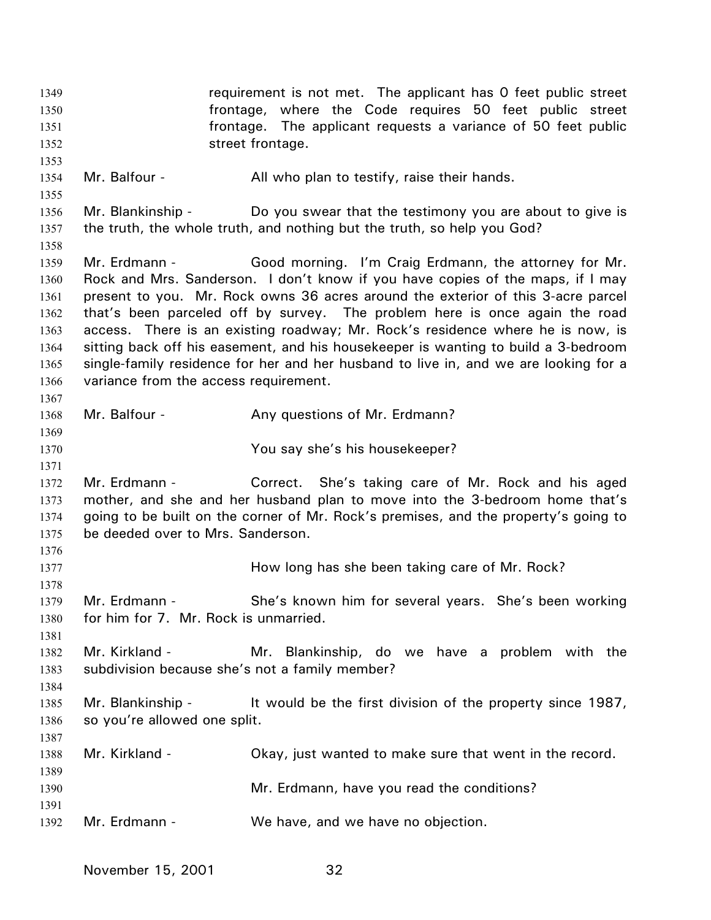requirement is not met. The applicant has 0 feet public street frontage, where the Code requires 50 feet public street frontage. The applicant requests a variance of 50 feet public street frontage. 1349 1350 1351 1352 1353 1354 1355 1356 1357 1358 1359 1360 1361 1362 1363 1364 1365 1366 1367 1368 1369 1370 1371 1372 1373 1374 1375 1376 1377 1378 1379 1380 1381 1382 1383 1384 1385 1386 1387 1388 1389 1390 1391 1392 Mr. Balfour - All who plan to testify, raise their hands. Mr. Blankinship - Do you swear that the testimony you are about to give is the truth, the whole truth, and nothing but the truth, so help you God? Mr. Erdmann - Good morning. I'm Craig Erdmann, the attorney for Mr. Rock and Mrs. Sanderson. I don't know if you have copies of the maps, if I may present to you. Mr. Rock owns 36 acres around the exterior of this 3-acre parcel that's been parceled off by survey. The problem here is once again the road access. There is an existing roadway; Mr. Rock's residence where he is now, is sitting back off his easement, and his housekeeper is wanting to build a 3-bedroom single-family residence for her and her husband to live in, and we are looking for a variance from the access requirement. Mr. Balfour - Any questions of Mr. Erdmann? You say she's his housekeeper? Mr. Erdmann - Correct. She's taking care of Mr. Rock and his aged mother, and she and her husband plan to move into the 3-bedroom home that's going to be built on the corner of Mr. Rock's premises, and the property's going to be deeded over to Mrs. Sanderson. How long has she been taking care of Mr. Rock? Mr. Erdmann - She's known him for several years. She's been working for him for 7. Mr. Rock is unmarried. Mr. Kirkland - Mr. Blankinship, do we have a problem with the subdivision because she's not a family member? Mr. Blankinship - It would be the first division of the property since 1987, so you're allowed one split. Mr. Kirkland - Chay, just wanted to make sure that went in the record. Mr. Erdmann, have you read the conditions? Mr. Erdmann - We have, and we have no objection.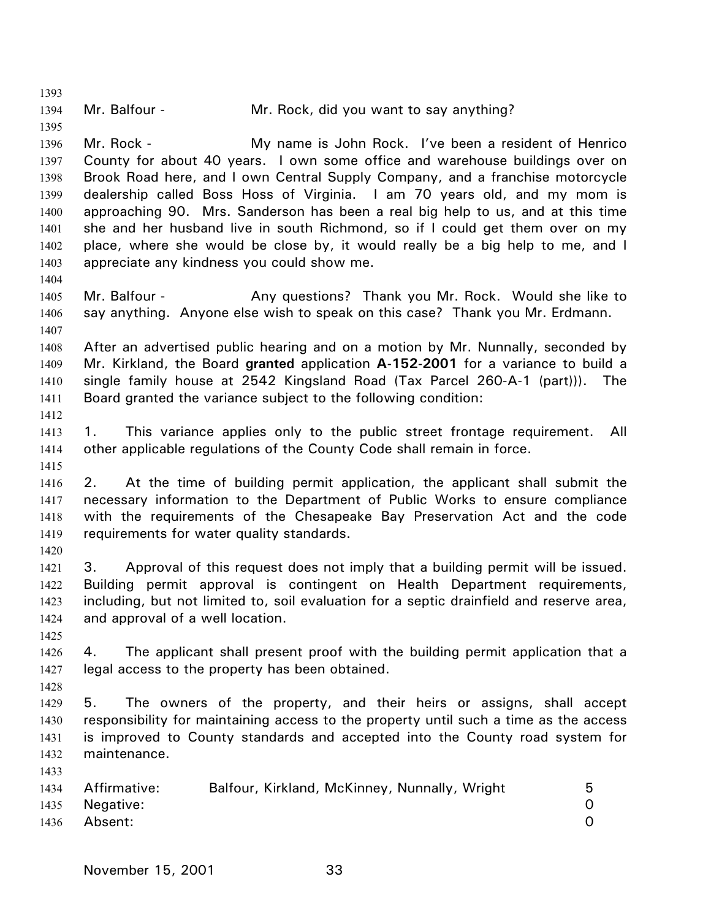1393 1394 1395 1396 1397 1398 1399 1400 1401 1402 1403 1404 1405 1406 1407 1408 1409 1410 1411 1412 1413 1414 1415 1416 1417 1418 1419 1420 1421 1422 1423 1424 1425 1426 1427 1428 1429 1430 1431 1432 1433 1434 1435 1436 Mr. Balfour - Mr. Rock, did you want to say anything? Mr. Rock - My name is John Rock. I've been a resident of Henrico County for about 40 years. I own some office and warehouse buildings over on Brook Road here, and I own Central Supply Company, and a franchise motorcycle dealership called Boss Hoss of Virginia. I am 70 years old, and my mom is approaching 90. Mrs. Sanderson has been a real big help to us, and at this time she and her husband live in south Richmond, so if I could get them over on my place, where she would be close by, it would really be a big help to me, and I appreciate any kindness you could show me. Mr. Balfour - Any questions? Thank you Mr. Rock. Would she like to say anything. Anyone else wish to speak on this case? Thank you Mr. Erdmann. After an advertised public hearing and on a motion by Mr. Nunnally, seconded by Mr. Kirkland, the Board **granted** application **A-152-2001** for a variance to build a single family house at 2542 Kingsland Road (Tax Parcel 260-A-1 (part))). The Board granted the variance subject to the following condition: 1. This variance applies only to the public street frontage requirement. All other applicable regulations of the County Code shall remain in force. 2. At the time of building permit application, the applicant shall submit the necessary information to the Department of Public Works to ensure compliance with the requirements of the Chesapeake Bay Preservation Act and the code requirements for water quality standards. 3. Approval of this request does not imply that a building permit will be issued. Building permit approval is contingent on Health Department requirements, including, but not limited to, soil evaluation for a septic drainfield and reserve area, and approval of a well location. 4. The applicant shall present proof with the building permit application that a legal access to the property has been obtained. 5. The owners of the property, and their heirs or assigns, shall accept responsibility for maintaining access to the property until such a time as the access is improved to County standards and accepted into the County road system for maintenance. Affirmative: Balfour, Kirkland, McKinney, Nunnally, Wright 5 Negative: 0 Absent: 0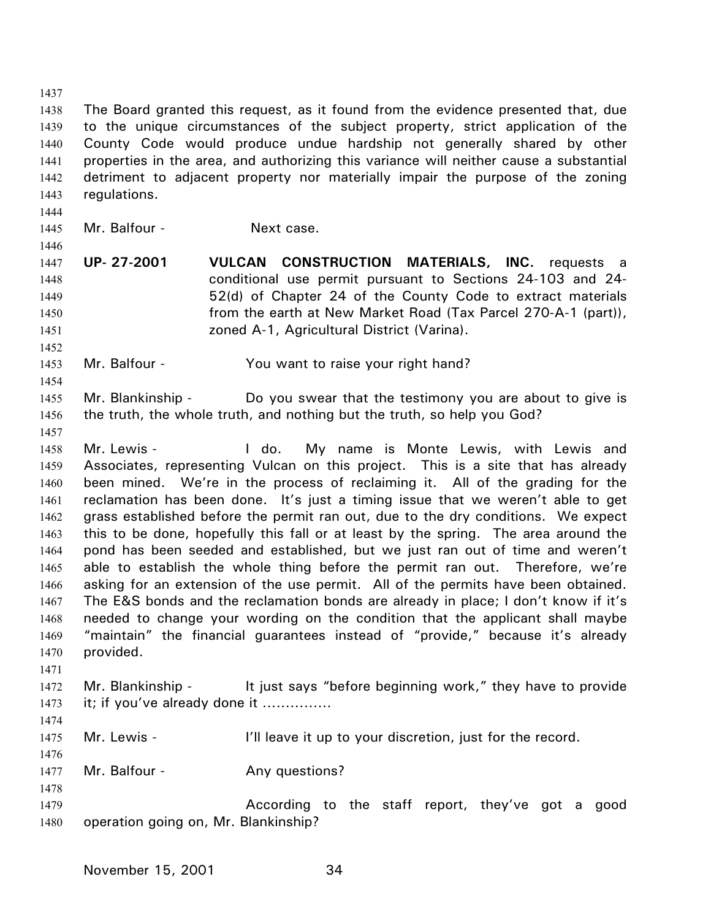1437 1438 1439 1440 1441 1442 1443 1444 1445 1446 1447 1448 1449 1450 1451 1452 1453 1454 The Board granted this request, as it found from the evidence presented that, due to the unique circumstances of the subject property, strict application of the County Code would produce undue hardship not generally shared by other properties in the area, and authorizing this variance will neither cause a substantial detriment to adjacent property nor materially impair the purpose of the zoning regulations. Mr. Balfour - Next case. **UP- 27-2001 VULCAN CONSTRUCTION MATERIALS, INC.** requests a conditional use permit pursuant to Sections 24-103 and 24- 52(d) of Chapter 24 of the County Code to extract materials from the earth at New Market Road (Tax Parcel 270-A-1 (part)), zoned A-1, Agricultural District (Varina). Mr. Balfour - You want to raise your right hand?

1455 1456 Mr. Blankinship - Do you swear that the testimony you are about to give is the truth, the whole truth, and nothing but the truth, so help you God?

1457

1458 1459 1460 1461 1462 1463 1464 1465 1466 1467 1468 1469 1470 Mr. Lewis - I do. My name is Monte Lewis, with Lewis and Associates, representing Vulcan on this project. This is a site that has already been mined. We're in the process of reclaiming it. All of the grading for the reclamation has been done. It's just a timing issue that we weren't able to get grass established before the permit ran out, due to the dry conditions. We expect this to be done, hopefully this fall or at least by the spring. The area around the pond has been seeded and established, but we just ran out of time and weren't able to establish the whole thing before the permit ran out. Therefore, we're asking for an extension of the use permit. All of the permits have been obtained. The E&S bonds and the reclamation bonds are already in place; I don't know if it's needed to change your wording on the condition that the applicant shall maybe "maintain" the financial guarantees instead of "provide," because it's already provided.

1472 1473 Mr. Blankinship - It just says "before beginning work," they have to provide it; if you've already done it ……………

1474

1476

1471

1475 Mr. Lewis - The littleave it up to your discretion, just for the record.

1477 Mr. Balfour - Any questions?

1478

1479 1480 According to the staff report, they've got a good operation going on, Mr. Blankinship?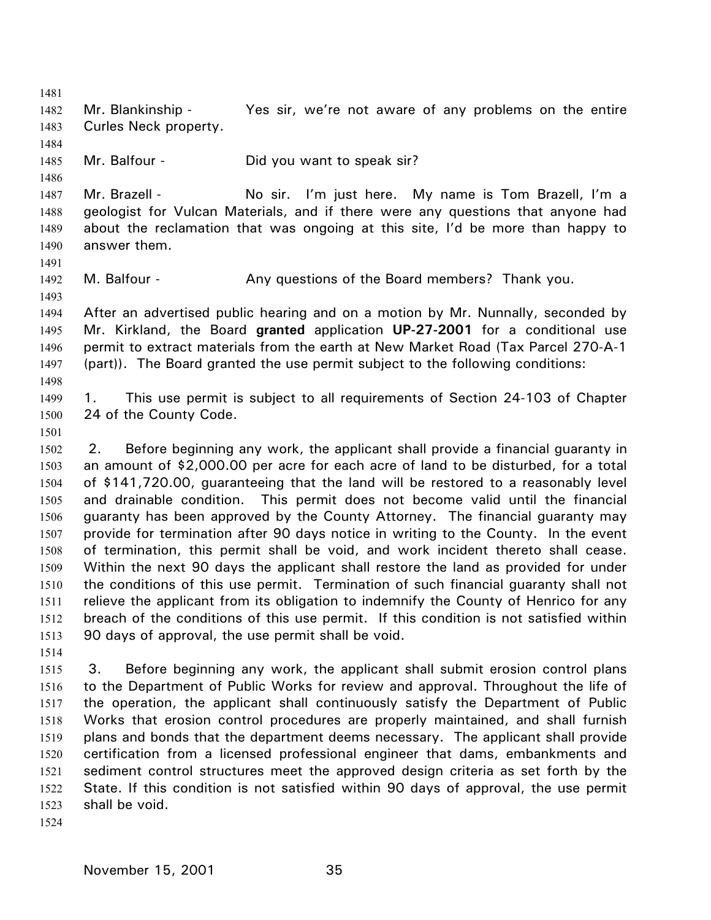1481 1482 1483 1484 1485 1486 1487 1488 1489 1490 1491 1492 1493 1494 1495 1496 1497 1498 1499 1500 1501 1502 1503 1504 1505 1506 1507 1508 1509 1510 1511 1512 1513 1514 1515 1516 1517 1518 Mr. Blankinship - Yes sir, we're not aware of any problems on the entire Curles Neck property. Mr. Balfour - Did you want to speak sir? Mr. Brazell - No sir. I'm just here. My name is Tom Brazell, I'm a geologist for Vulcan Materials, and if there were any questions that anyone had about the reclamation that was ongoing at this site, I'd be more than happy to answer them. M. Balfour - Any questions of the Board members? Thank you. After an advertised public hearing and on a motion by Mr. Nunnally, seconded by Mr. Kirkland, the Board **granted** application **UP-27-2001** for a conditional use permit to extract materials from the earth at New Market Road (Tax Parcel 270-A-1 (part)). The Board granted the use permit subject to the following conditions: 1. This use permit is subject to all requirements of Section 24-103 of Chapter 24 of the County Code. 2. Before beginning any work, the applicant shall provide a financial guaranty in an amount of \$2,000.00 per acre for each acre of land to be disturbed, for a total of \$141,720.00, guaranteeing that the land will be restored to a reasonably level and drainable condition. This permit does not become valid until the financial guaranty has been approved by the County Attorney. The financial guaranty may provide for termination after 90 days notice in writing to the County. In the event of termination, this permit shall be void, and work incident thereto shall cease. Within the next 90 days the applicant shall restore the land as provided for under the conditions of this use permit. Termination of such financial guaranty shall not relieve the applicant from its obligation to indemnify the County of Henrico for any breach of the conditions of this use permit. If this condition is not satisfied within 90 days of approval, the use permit shall be void. 3. Before beginning any work, the applicant shall submit erosion control plans to the Department of Public Works for review and approval. Throughout the life of the operation, the applicant shall continuously satisfy the Department of Public Works that erosion control procedures are properly maintained, and shall furnish

1519 1520 1521 1522 1523 plans and bonds that the department deems necessary. The applicant shall provide certification from a licensed professional engineer that dams, embankments and sediment control structures meet the approved design criteria as set forth by the State. If this condition is not satisfied within 90 days of approval, the use permit shall be void.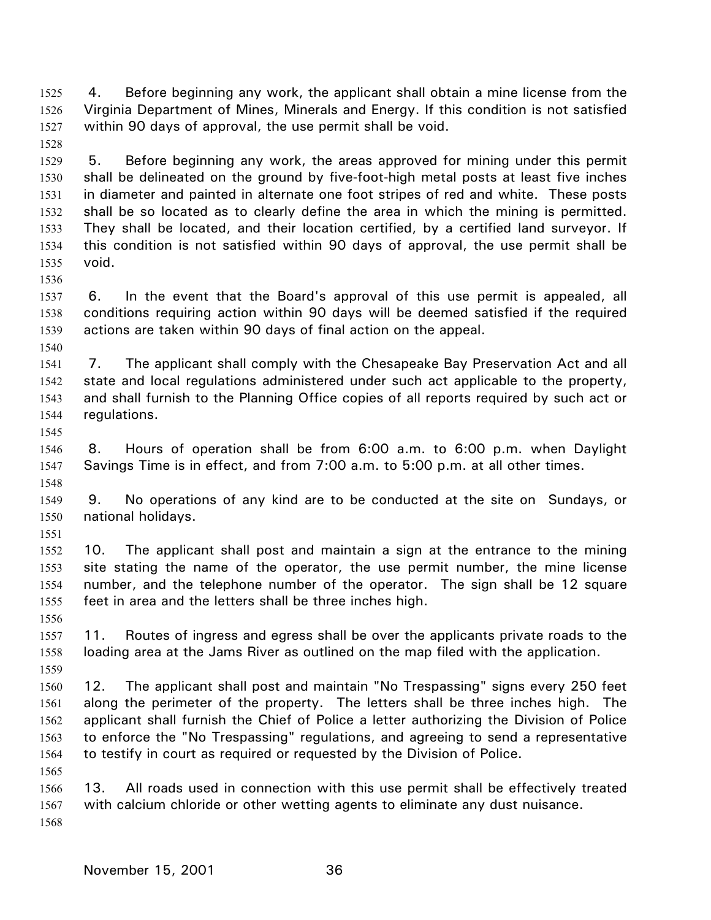4. Before beginning any work, the applicant shall obtain a mine license from the Virginia Department of Mines, Minerals and Energy. If this condition is not satisfied within 90 days of approval, the use permit shall be void. 1525 1526 1527

- 1529 1530 1531 1532 1533 1534 1535 5. Before beginning any work, the areas approved for mining under this permit shall be delineated on the ground by five-foot-high metal posts at least five inches in diameter and painted in alternate one foot stripes of red and white. These posts shall be so located as to clearly define the area in which the mining is permitted. They shall be located, and their location certified, by a certified land surveyor. If this condition is not satisfied within 90 days of approval, the use permit shall be void.
- 1537 1538 1539 6. In the event that the Board's approval of this use permit is appealed, all conditions requiring action within 90 days will be deemed satisfied if the required actions are taken within 90 days of final action on the appeal.
- 1540

1536

1528

1541 1542 1543 1544 7. The applicant shall comply with the Chesapeake Bay Preservation Act and all state and local regulations administered under such act applicable to the property, and shall furnish to the Planning Office copies of all reports required by such act or regulations.

1545

1551

- 1546 1547 1548 8. Hours of operation shall be from 6:00 a.m. to 6:00 p.m. when Daylight Savings Time is in effect, and from 7:00 a.m. to 5:00 p.m. at all other times.
- 1549 1550 9. No operations of any kind are to be conducted at the site on Sundays, or national holidays.
- 1552 1553 1554 1555 10. The applicant shall post and maintain a sign at the entrance to the mining site stating the name of the operator, the use permit number, the mine license number, and the telephone number of the operator. The sign shall be 12 square feet in area and the letters shall be three inches high.
- 1556 1557 1558 1559 11. Routes of ingress and egress shall be over the applicants private roads to the loading area at the Jams River as outlined on the map filed with the application.
- 1560 1561 1562 1563 1564 12. The applicant shall post and maintain "No Trespassing" signs every 250 feet along the perimeter of the property. The letters shall be three inches high. The applicant shall furnish the Chief of Police a letter authorizing the Division of Police to enforce the "No Trespassing" regulations, and agreeing to send a representative to testify in court as required or requested by the Division of Police.
- 1566 1567 1568 13. All roads used in connection with this use permit shall be effectively treated with calcium chloride or other wetting agents to eliminate any dust nuisance.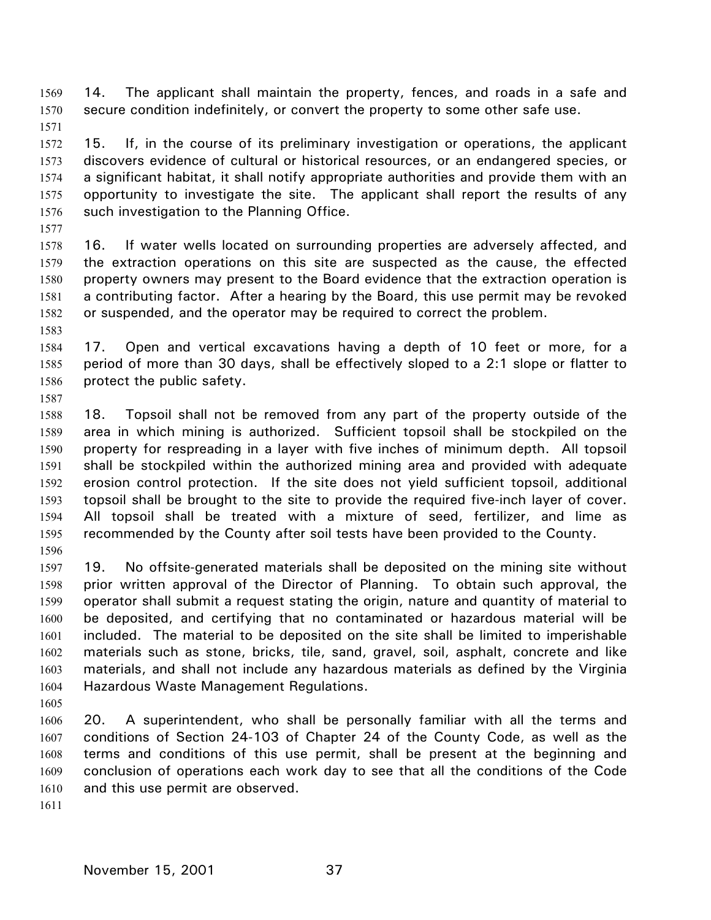14. The applicant shall maintain the property, fences, and roads in a safe and secure condition indefinitely, or convert the property to some other safe use. 1569 1570

1571

1572 1573 1574 1575 1576 15. If, in the course of its preliminary investigation or operations, the applicant discovers evidence of cultural or historical resources, or an endangered species, or a significant habitat, it shall notify appropriate authorities and provide them with an opportunity to investigate the site. The applicant shall report the results of any such investigation to the Planning Office.

1577

1587

1578 1579 1580 1581 1582 1583 16. If water wells located on surrounding properties are adversely affected, and the extraction operations on this site are suspected as the cause, the effected property owners may present to the Board evidence that the extraction operation is a contributing factor. After a hearing by the Board, this use permit may be revoked or suspended, and the operator may be required to correct the problem.

1584 1585 1586 17. Open and vertical excavations having a depth of 10 feet or more, for a period of more than 30 days, shall be effectively sloped to a 2:1 slope or flatter to protect the public safety.

1588 1589 1590 1591 1592 1593 1594 1595 1596 18. Topsoil shall not be removed from any part of the property outside of the area in which mining is authorized. Sufficient topsoil shall be stockpiled on the property for respreading in a layer with five inches of minimum depth. All topsoil shall be stockpiled within the authorized mining area and provided with adequate erosion control protection. If the site does not yield sufficient topsoil, additional topsoil shall be brought to the site to provide the required five-inch layer of cover. All topsoil shall be treated with a mixture of seed, fertilizer, and lime as recommended by the County after soil tests have been provided to the County.

1597 1598 1599 1600 1601 1602 1603 1604 19. No offsite-generated materials shall be deposited on the mining site without prior written approval of the Director of Planning. To obtain such approval, the operator shall submit a request stating the origin, nature and quantity of material to be deposited, and certifying that no contaminated or hazardous material will be included. The material to be deposited on the site shall be limited to imperishable materials such as stone, bricks, tile, sand, gravel, soil, asphalt, concrete and like materials, and shall not include any hazardous materials as defined by the Virginia Hazardous Waste Management Regulations.

1605

1606 1607 1608 1609 1610 20. A superintendent, who shall be personally familiar with all the terms and conditions of Section 24-103 of Chapter 24 of the County Code, as well as the terms and conditions of this use permit, shall be present at the beginning and conclusion of operations each work day to see that all the conditions of the Code and this use permit are observed.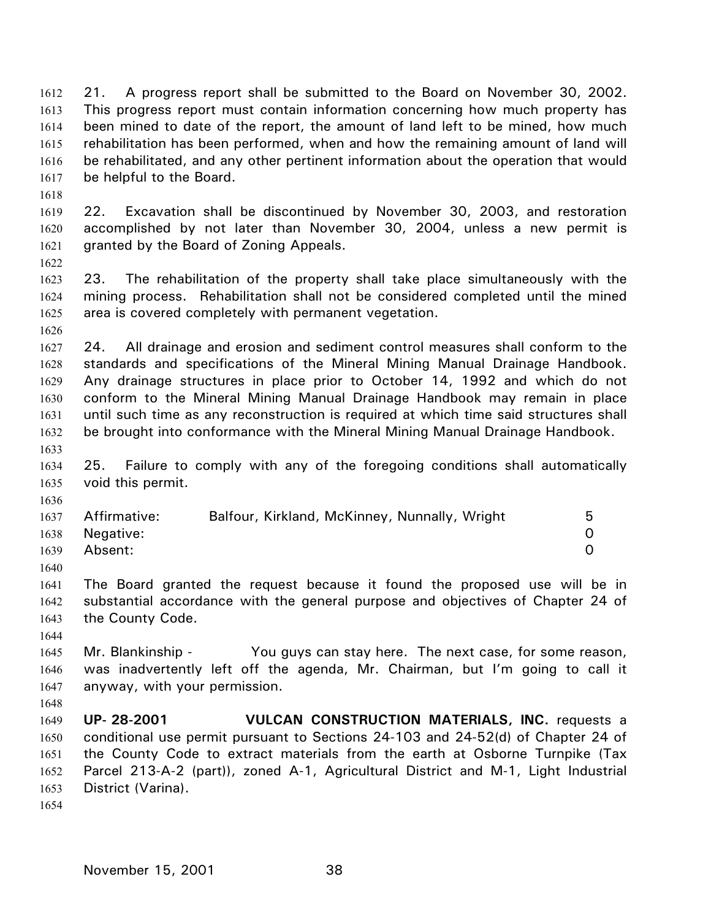21. A progress report shall be submitted to the Board on November 30, 2002. This progress report must contain information concerning how much property has been mined to date of the report, the amount of land left to be mined, how much rehabilitation has been performed, when and how the remaining amount of land will be rehabilitated, and any other pertinent information about the operation that would be helpful to the Board. 1612 1613 1614 1615 1616 1617

1618

1619 1620 1621 22. Excavation shall be discontinued by November 30, 2003, and restoration accomplished by not later than November 30, 2004, unless a new permit is granted by the Board of Zoning Appeals.

1622

1623 1624 1625 23. The rehabilitation of the property shall take place simultaneously with the mining process. Rehabilitation shall not be considered completed until the mined area is covered completely with permanent vegetation.

1626

1627 1628 1629 1630 1631 1632 1633 24. All drainage and erosion and sediment control measures shall conform to the standards and specifications of the Mineral Mining Manual Drainage Handbook. Any drainage structures in place prior to October 14, 1992 and which do not conform to the Mineral Mining Manual Drainage Handbook may remain in place until such time as any reconstruction is required at which time said structures shall be brought into conformance with the Mineral Mining Manual Drainage Handbook.

1634 1635 25. Failure to comply with any of the foregoing conditions shall automatically void this permit.

| 1637 | Affirmative:   | Balfour, Kirkland, McKinney, Nunnally, Wright | 5        |
|------|----------------|-----------------------------------------------|----------|
|      | 1638 Negative: |                                               | $\Omega$ |
| 1639 | Absent:        |                                               | $\Omega$ |

1640

1636

1641 1642 1643 The Board granted the request because it found the proposed use will be in substantial accordance with the general purpose and objectives of Chapter 24 of the County Code.

1644

1645 1646 1647 Mr. Blankinship - You guys can stay here. The next case, for some reason, was inadvertently left off the agenda, Mr. Chairman, but I'm going to call it anyway, with your permission.

1648 1649 1650 1651 1652 1653 **UP- 28-2001 VULCAN CONSTRUCTION MATERIALS, INC.** requests a conditional use permit pursuant to Sections 24-103 and 24-52(d) of Chapter 24 of the County Code to extract materials from the earth at Osborne Turnpike (Tax Parcel 213-A-2 (part)), zoned A-1, Agricultural District and M-1, Light Industrial District (Varina).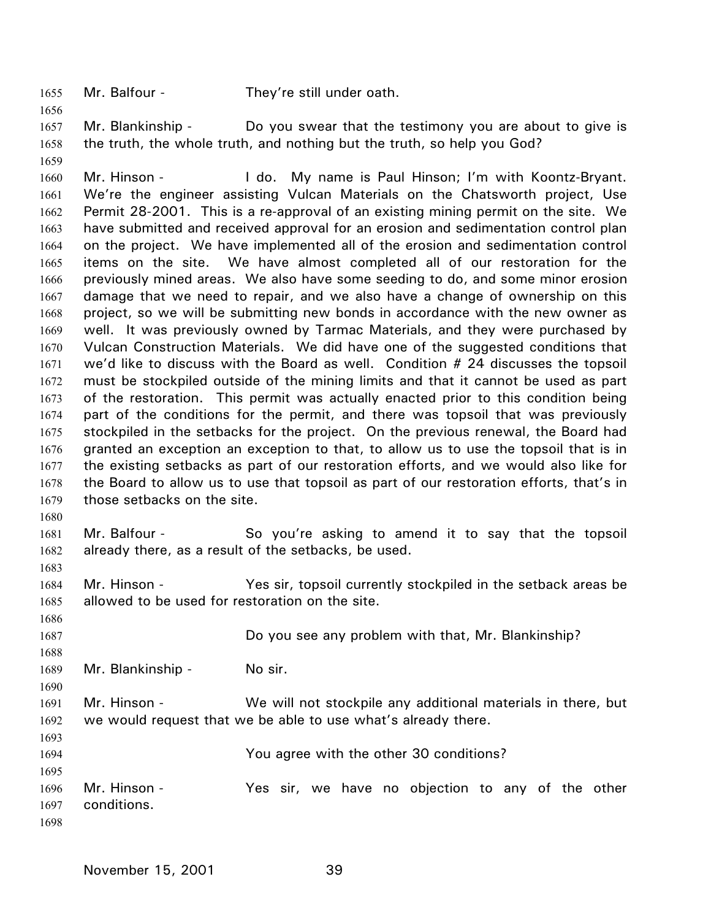1655 Mr. Balfour - They're still under oath.

1656

1680

1683

1686

1688

1690

1693

1657 1658 1659 Mr. Blankinship - Do you swear that the testimony you are about to give is the truth, the whole truth, and nothing but the truth, so help you God?

1660 1661 1662 1663 1664 1665 1666 1667 1668 1669 1670 1671 1672 1673 1674 1675 1676 1677 1678 1679 Mr. Hinson - The do. My name is Paul Hinson; I'm with Koontz-Bryant. We're the engineer assisting Vulcan Materials on the Chatsworth project, Use Permit 28-2001. This is a re-approval of an existing mining permit on the site. We have submitted and received approval for an erosion and sedimentation control plan on the project. We have implemented all of the erosion and sedimentation control items on the site. We have almost completed all of our restoration for the previously mined areas. We also have some seeding to do, and some minor erosion damage that we need to repair, and we also have a change of ownership on this project, so we will be submitting new bonds in accordance with the new owner as well. It was previously owned by Tarmac Materials, and they were purchased by Vulcan Construction Materials. We did have one of the suggested conditions that we'd like to discuss with the Board as well. Condition # 24 discusses the topsoil must be stockpiled outside of the mining limits and that it cannot be used as part of the restoration. This permit was actually enacted prior to this condition being part of the conditions for the permit, and there was topsoil that was previously stockpiled in the setbacks for the project. On the previous renewal, the Board had granted an exception an exception to that, to allow us to use the topsoil that is in the existing setbacks as part of our restoration efforts, and we would also like for the Board to allow us to use that topsoil as part of our restoration efforts, that's in those setbacks on the site.

- 1681 1682 Mr. Balfour - So you're asking to amend it to say that the topsoil already there, as a result of the setbacks, be used.
- 1684 1685 Mr. Hinson - Yes sir, topsoil currently stockpiled in the setback areas be allowed to be used for restoration on the site.

1687 Do you see any problem with that, Mr. Blankinship?

1689 Mr. Blankinship - No sir.

1691 1692 Mr. Hinson - We will not stockpile any additional materials in there, but we would request that we be able to use what's already there.

1694 1695 You agree with the other 30 conditions?

1696 1697 1698 Mr. Hinson - The Yestising over have no objection to any of the other conditions.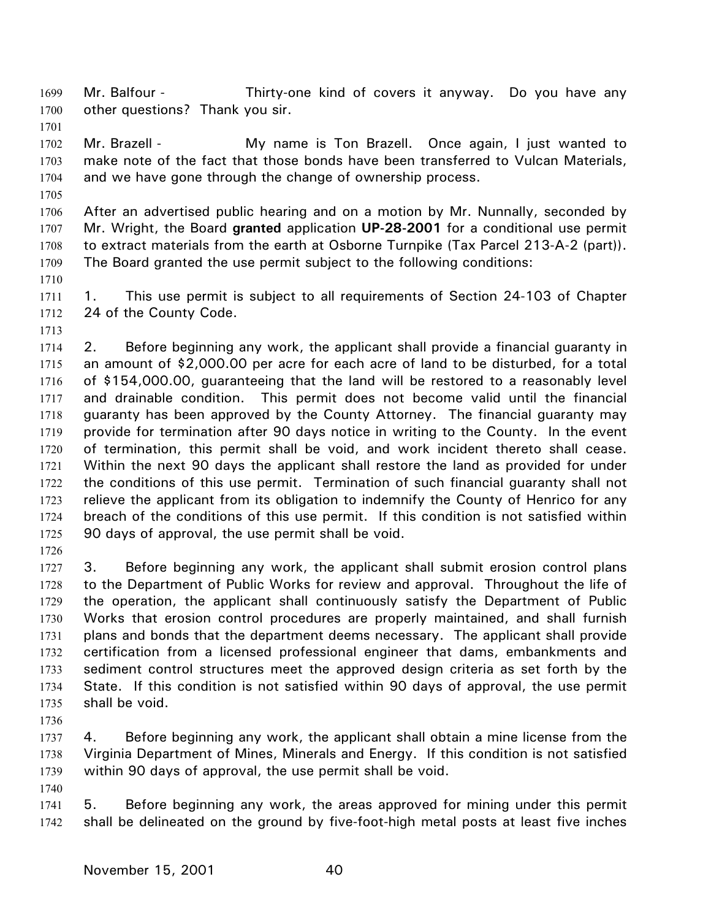Mr. Balfour - Thirty-one kind of covers it anyway. Do you have any other questions? Thank you sir. 1699 1700

1702 1703 1704 Mr. Brazell - My name is Ton Brazell. Once again, I just wanted to make note of the fact that those bonds have been transferred to Vulcan Materials, and we have gone through the change of ownership process.

1705

1701

1706 1707 1708 1709 After an advertised public hearing and on a motion by Mr. Nunnally, seconded by Mr. Wright, the Board **granted** application **UP-28-2001** for a conditional use permit to extract materials from the earth at Osborne Turnpike (Tax Parcel 213-A-2 (part)). The Board granted the use permit subject to the following conditions:

1710

1711 1712 1. This use permit is subject to all requirements of Section 24-103 of Chapter 24 of the County Code.

1713

1714 1715 1716 1717 1718 1719 1720 1721 1722 1723 1724 1725 2. Before beginning any work, the applicant shall provide a financial guaranty in an amount of \$2,000.00 per acre for each acre of land to be disturbed, for a total of \$154,000.00, guaranteeing that the land will be restored to a reasonably level and drainable condition. This permit does not become valid until the financial guaranty has been approved by the County Attorney. The financial guaranty may provide for termination after 90 days notice in writing to the County. In the event of termination, this permit shall be void, and work incident thereto shall cease. Within the next 90 days the applicant shall restore the land as provided for under the conditions of this use permit. Termination of such financial guaranty shall not relieve the applicant from its obligation to indemnify the County of Henrico for any breach of the conditions of this use permit. If this condition is not satisfied within 90 days of approval, the use permit shall be void.

1726

1727 1728 1729 1730 1731 1732 1733 1734 1735 3. Before beginning any work, the applicant shall submit erosion control plans to the Department of Public Works for review and approval. Throughout the life of the operation, the applicant shall continuously satisfy the Department of Public Works that erosion control procedures are properly maintained, and shall furnish plans and bonds that the department deems necessary. The applicant shall provide certification from a licensed professional engineer that dams, embankments and sediment control structures meet the approved design criteria as set forth by the State. If this condition is not satisfied within 90 days of approval, the use permit shall be void.

1736

1737 1738 1739 4. Before beginning any work, the applicant shall obtain a mine license from the Virginia Department of Mines, Minerals and Energy. If this condition is not satisfied within 90 days of approval, the use permit shall be void.

1740

1741 1742 5. Before beginning any work, the areas approved for mining under this permit shall be delineated on the ground by five-foot-high metal posts at least five inches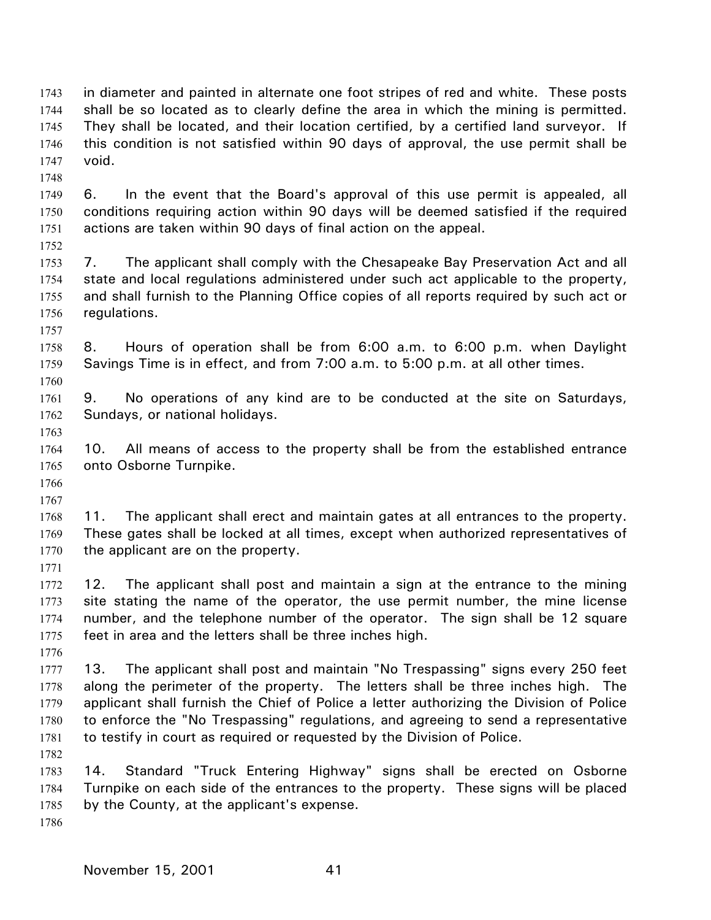in diameter and painted in alternate one foot stripes of red and white. These posts shall be so located as to clearly define the area in which the mining is permitted. They shall be located, and their location certified, by a certified land surveyor. If this condition is not satisfied within 90 days of approval, the use permit shall be void. 1743 1744 1745 1746 1747

1749 1750 1751 6. In the event that the Board's approval of this use permit is appealed, all conditions requiring action within 90 days will be deemed satisfied if the required actions are taken within 90 days of final action on the appeal.

1753 1754 1755 1756 7. The applicant shall comply with the Chesapeake Bay Preservation Act and all state and local regulations administered under such act applicable to the property, and shall furnish to the Planning Office copies of all reports required by such act or regulations.

1758 1759 8. Hours of operation shall be from 6:00 a.m. to 6:00 p.m. when Daylight Savings Time is in effect, and from 7:00 a.m. to 5:00 p.m. at all other times.

1761 1762 9. No operations of any kind are to be conducted at the site on Saturdays, Sundays, or national holidays.

1764 1765 10. All means of access to the property shall be from the established entrance onto Osborne Turnpike.

1766 1767

1748

1752

1757

1760

1763

1768 1769 1770 11. The applicant shall erect and maintain gates at all entrances to the property. These gates shall be locked at all times, except when authorized representatives of the applicant are on the property.

1771

1776

1772 1773 1774 1775 12. The applicant shall post and maintain a sign at the entrance to the mining site stating the name of the operator, the use permit number, the mine license number, and the telephone number of the operator. The sign shall be 12 square feet in area and the letters shall be three inches high.

1777 1778 1779 1780 1781 13. The applicant shall post and maintain "No Trespassing" signs every 250 feet along the perimeter of the property. The letters shall be three inches high. The applicant shall furnish the Chief of Police a letter authorizing the Division of Police to enforce the "No Trespassing" regulations, and agreeing to send a representative to testify in court as required or requested by the Division of Police.

1783 1784 1785 14. Standard "Truck Entering Highway" signs shall be erected on Osborne Turnpike on each side of the entrances to the property. These signs will be placed by the County, at the applicant's expense.

1786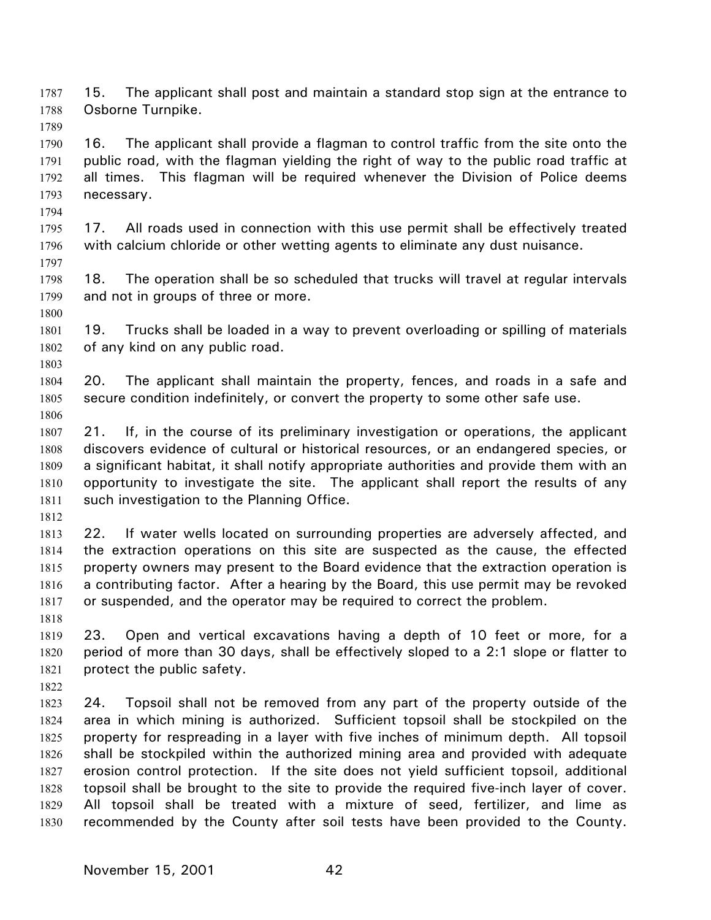15. The applicant shall post and maintain a standard stop sign at the entrance to Osborne Turnpike. 1787 1788

1790 1791 1792 1793 16. The applicant shall provide a flagman to control traffic from the site onto the public road, with the flagman yielding the right of way to the public road traffic at all times. This flagman will be required whenever the Division of Police deems necessary.

1795 1796 17. All roads used in connection with this use permit shall be effectively treated with calcium chloride or other wetting agents to eliminate any dust nuisance.

1798 1799 18. The operation shall be so scheduled that trucks will travel at regular intervals and not in groups of three or more.

1801 1802 19. Trucks shall be loaded in a way to prevent overloading or spilling of materials of any kind on any public road.

1804 1805 1806 20. The applicant shall maintain the property, fences, and roads in a safe and secure condition indefinitely, or convert the property to some other safe use.

1807 1808 1809 1810 1811 21. If, in the course of its preliminary investigation or operations, the applicant discovers evidence of cultural or historical resources, or an endangered species, or a significant habitat, it shall notify appropriate authorities and provide them with an opportunity to investigate the site. The applicant shall report the results of any such investigation to the Planning Office.

1812

1789

1794

1797

1800

1803

1813 1814 1815 1816 1817 22. If water wells located on surrounding properties are adversely affected, and the extraction operations on this site are suspected as the cause, the effected property owners may present to the Board evidence that the extraction operation is a contributing factor. After a hearing by the Board, this use permit may be revoked or suspended, and the operator may be required to correct the problem.

1819 1820 1821 23. Open and vertical excavations having a depth of 10 feet or more, for a period of more than 30 days, shall be effectively sloped to a 2:1 slope or flatter to protect the public safety.

1822

1818

1823 1824 1825 1826 1827 1828 1829 1830 24. Topsoil shall not be removed from any part of the property outside of the area in which mining is authorized. Sufficient topsoil shall be stockpiled on the property for respreading in a layer with five inches of minimum depth. All topsoil shall be stockpiled within the authorized mining area and provided with adequate erosion control protection. If the site does not yield sufficient topsoil, additional topsoil shall be brought to the site to provide the required five-inch layer of cover. All topsoil shall be treated with a mixture of seed, fertilizer, and lime as recommended by the County after soil tests have been provided to the County.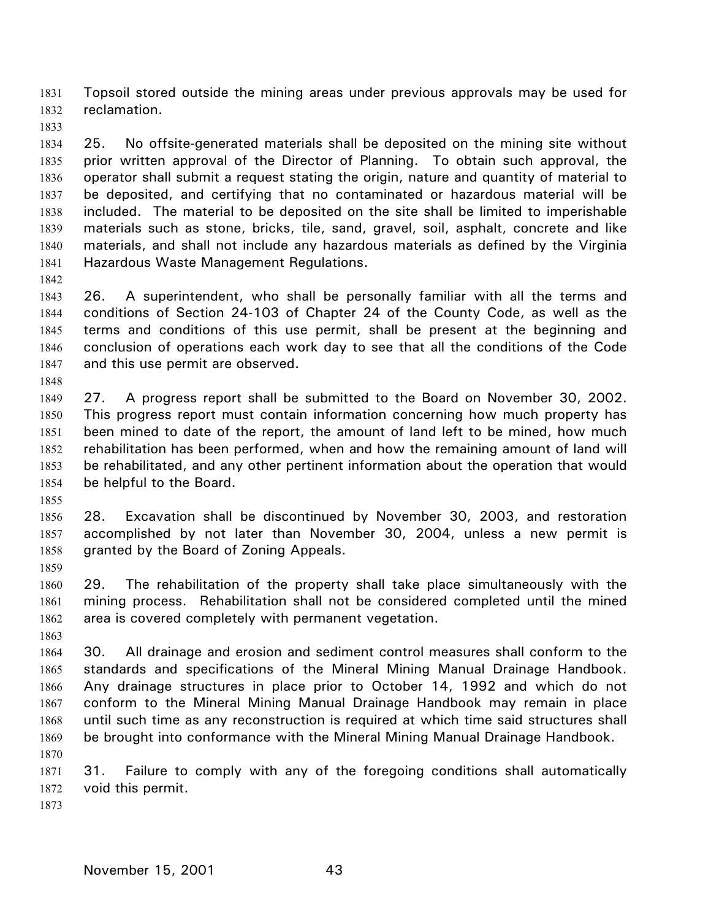Topsoil stored outside the mining areas under previous approvals may be used for reclamation. 1831 1832

1833

1834 1835 1836 1837 1838 1839 1840 1841 25. No offsite-generated materials shall be deposited on the mining site without prior written approval of the Director of Planning. To obtain such approval, the operator shall submit a request stating the origin, nature and quantity of material to be deposited, and certifying that no contaminated or hazardous material will be included. The material to be deposited on the site shall be limited to imperishable materials such as stone, bricks, tile, sand, gravel, soil, asphalt, concrete and like materials, and shall not include any hazardous materials as defined by the Virginia Hazardous Waste Management Regulations.

1842

1848

1843 1844 1845 1846 1847 26. A superintendent, who shall be personally familiar with all the terms and conditions of Section 24-103 of Chapter 24 of the County Code, as well as the terms and conditions of this use permit, shall be present at the beginning and conclusion of operations each work day to see that all the conditions of the Code and this use permit are observed.

1849 1850 1851 1852 1853 1854 27. A progress report shall be submitted to the Board on November 30, 2002. This progress report must contain information concerning how much property has been mined to date of the report, the amount of land left to be mined, how much rehabilitation has been performed, when and how the remaining amount of land will be rehabilitated, and any other pertinent information about the operation that would be helpful to the Board.

1855

1856 1857 1858 28. Excavation shall be discontinued by November 30, 2003, and restoration accomplished by not later than November 30, 2004, unless a new permit is granted by the Board of Zoning Appeals.

1859

1860 1861 1862 29. The rehabilitation of the property shall take place simultaneously with the mining process. Rehabilitation shall not be considered completed until the mined area is covered completely with permanent vegetation.

1863

1864 1865 1866 1867 1868 1869 1870 30. All drainage and erosion and sediment control measures shall conform to the standards and specifications of the Mineral Mining Manual Drainage Handbook. Any drainage structures in place prior to October 14, 1992 and which do not conform to the Mineral Mining Manual Drainage Handbook may remain in place until such time as any reconstruction is required at which time said structures shall be brought into conformance with the Mineral Mining Manual Drainage Handbook.

1871 1872 31. Failure to comply with any of the foregoing conditions shall automatically void this permit.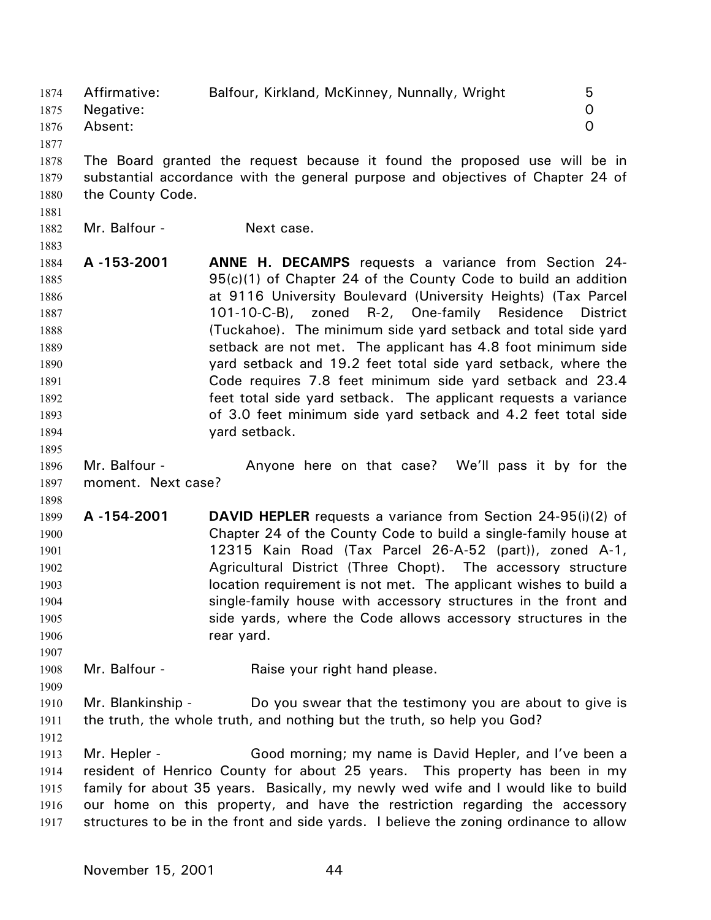1874 Affirmative: Balfour, Kirkland, McKinney, Nunnally, Wright 5 1875 1876 1877 Negative: 0 Absent: 0

1878 1879 1880 The Board granted the request because it found the proposed use will be in substantial accordance with the general purpose and objectives of Chapter 24 of the County Code.

1881 1882

1883

1895

Mr. Balfour - Next case.

- 1884 1885 1886 1887 1888 1889 1890 1891 1892 1893 1894 **A -153-2001 ANNE H. DECAMPS** requests a variance from Section 24- 95(c)(1) of Chapter 24 of the County Code to build an addition at 9116 University Boulevard (University Heights) (Tax Parcel 101-10-C-B), zoned R-2, One-family Residence District (Tuckahoe). The minimum side yard setback and total side yard setback are not met. The applicant has 4.8 foot minimum side yard setback and 19.2 feet total side yard setback, where the Code requires 7.8 feet minimum side yard setback and 23.4 feet total side yard setback. The applicant requests a variance of 3.0 feet minimum side yard setback and 4.2 feet total side yard setback.
- 1896 1897 Mr. Balfour - Anyone here on that case? We'll pass it by for the moment. Next case?

1898 1899

- 1900 1901 1902 1903 1904 1905 1906 **A -154-2001 DAVID HEPLER** requests a variance from Section 24-95(i)(2) of Chapter 24 of the County Code to build a single-family house at 12315 Kain Road (Tax Parcel 26-A-52 (part)), zoned A-1, Agricultural District (Three Chopt). The accessory structure location requirement is not met. The applicant wishes to build a single-family house with accessory structures in the front and side yards, where the Code allows accessory structures in the rear yard.
- 1908 Mr. Balfour - Raise your right hand please.
- 1910 1911 Mr. Blankinship - Do you swear that the testimony you are about to give is the truth, the whole truth, and nothing but the truth, so help you God?
- 1912

1907

1909

1913 1914 1915 1916 1917 Mr. Hepler - Good morning; my name is David Hepler, and I've been a resident of Henrico County for about 25 years. This property has been in my family for about 35 years. Basically, my newly wed wife and I would like to build our home on this property, and have the restriction regarding the accessory structures to be in the front and side yards. I believe the zoning ordinance to allow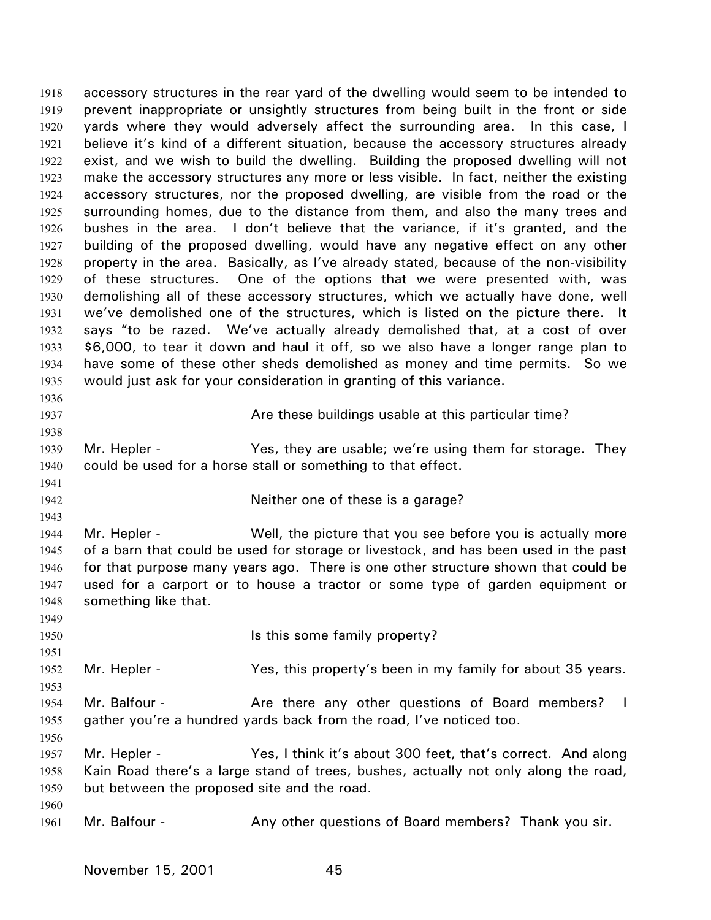accessory structures in the rear yard of the dwelling would seem to be intended to prevent inappropriate or unsightly structures from being built in the front or side yards where they would adversely affect the surrounding area. In this case, I believe it's kind of a different situation, because the accessory structures already exist, and we wish to build the dwelling. Building the proposed dwelling will not make the accessory structures any more or less visible. In fact, neither the existing accessory structures, nor the proposed dwelling, are visible from the road or the surrounding homes, due to the distance from them, and also the many trees and bushes in the area. I don't believe that the variance, if it's granted, and the building of the proposed dwelling, would have any negative effect on any other property in the area. Basically, as I've already stated, because of the non-visibility of these structures. One of the options that we were presented with, was demolishing all of these accessory structures, which we actually have done, well we've demolished one of the structures, which is listed on the picture there. It says "to be razed. We've actually already demolished that, at a cost of over \$6,000, to tear it down and haul it off, so we also have a longer range plan to have some of these other sheds demolished as money and time permits. So we would just ask for your consideration in granting of this variance. 1918 1919 1920 1921 1922 1923 1924 1925 1926 1927 1928 1929 1930 1931 1932 1933 1934 1935 1936 1937 1938 1939 1940 1941 1942 1943 1944 1945 1946 1947 1948 1949 1950 1951 1952 1953 1954 1955 1956 1957 1958 1959 1960 1961 Are these buildings usable at this particular time? Mr. Hepler - Yes, they are usable; we're using them for storage. They could be used for a horse stall or something to that effect. Neither one of these is a garage? Mr. Hepler - Well, the picture that you see before you is actually more of a barn that could be used for storage or livestock, and has been used in the past for that purpose many years ago. There is one other structure shown that could be used for a carport or to house a tractor or some type of garden equipment or something like that. Is this some family property? Mr. Hepler - Yes, this property's been in my family for about 35 years. Mr. Balfour - The Are there any other questions of Board members? I gather you're a hundred yards back from the road, I've noticed too. Mr. Hepler - Yes, I think it's about 300 feet, that's correct. And along Kain Road there's a large stand of trees, bushes, actually not only along the road, but between the proposed site and the road. Mr. Balfour - **Any other questions of Board members?** Thank you sir.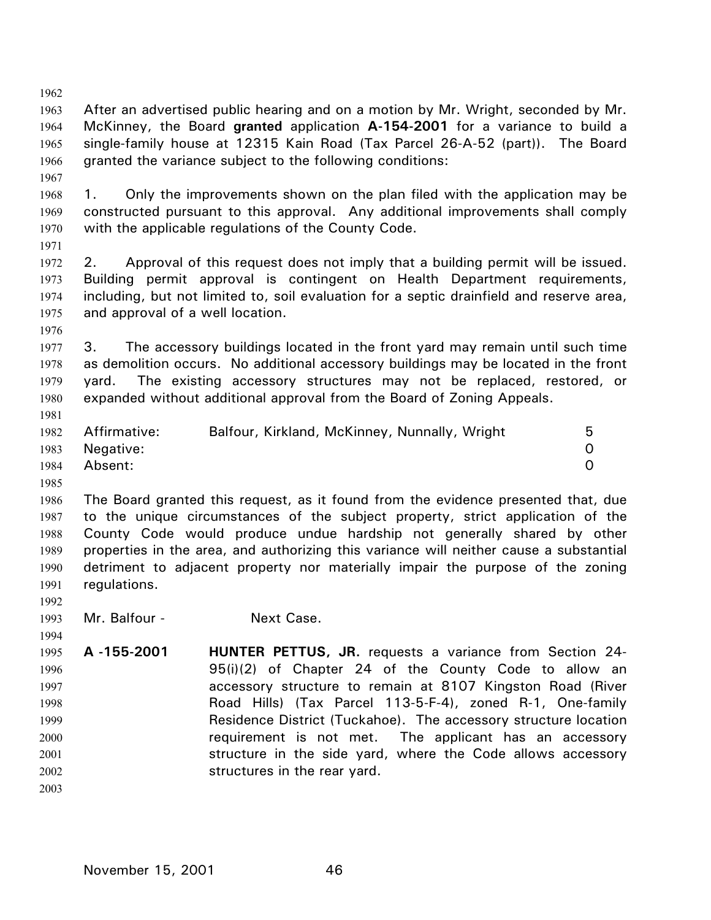| 1962 |                                                                                          |                                                                                        |          |  |
|------|------------------------------------------------------------------------------------------|----------------------------------------------------------------------------------------|----------|--|
| 1963 |                                                                                          | After an advertised public hearing and on a motion by Mr. Wright, seconded by Mr.      |          |  |
| 1964 | McKinney, the Board granted application A-154-2001 for a variance to build a             |                                                                                        |          |  |
| 1965 | single-family house at 12315 Kain Road (Tax Parcel 26-A-52 (part)). The Board            |                                                                                        |          |  |
| 1966 | granted the variance subject to the following conditions:                                |                                                                                        |          |  |
| 1967 |                                                                                          |                                                                                        |          |  |
| 1968 | 1.                                                                                       | Only the improvements shown on the plan filed with the application may be              |          |  |
| 1969 |                                                                                          | constructed pursuant to this approval. Any additional improvements shall comply        |          |  |
| 1970 |                                                                                          | with the applicable regulations of the County Code.                                    |          |  |
| 1971 |                                                                                          |                                                                                        |          |  |
| 1972 | 2.                                                                                       | Approval of this request does not imply that a building permit will be issued.         |          |  |
| 1973 |                                                                                          | Building permit approval is contingent on Health Department requirements,              |          |  |
| 1974 | including, but not limited to, soil evaluation for a septic drainfield and reserve area, |                                                                                        |          |  |
| 1975 | and approval of a well location.                                                         |                                                                                        |          |  |
| 1976 |                                                                                          |                                                                                        |          |  |
| 1977 | 3.                                                                                       | The accessory buildings located in the front yard may remain until such time           |          |  |
| 1978 | as demolition occurs. No additional accessory buildings may be located in the front      |                                                                                        |          |  |
| 1979 |                                                                                          | yard. The existing accessory structures may not be replaced, restored, or              |          |  |
| 1980 |                                                                                          | expanded without additional approval from the Board of Zoning Appeals.                 |          |  |
| 1981 |                                                                                          |                                                                                        |          |  |
| 1982 | Affirmative:                                                                             | Balfour, Kirkland, McKinney, Nunnally, Wright                                          | 5        |  |
| 1983 | Negative:                                                                                |                                                                                        | 0        |  |
| 1984 | Absent:                                                                                  |                                                                                        | $\Omega$ |  |
| 1985 |                                                                                          |                                                                                        |          |  |
| 1986 |                                                                                          | The Board granted this request, as it found from the evidence presented that, due      |          |  |
| 1987 |                                                                                          | to the unique circumstances of the subject property, strict application of the         |          |  |
| 1988 | County Code would produce undue hardship not generally shared by other                   |                                                                                        |          |  |
| 1989 |                                                                                          | properties in the area, and authorizing this variance will neither cause a substantial |          |  |
| 1990 |                                                                                          | detriment to adjacent property nor materially impair the purpose of the zoning         |          |  |
| 1991 | regulations.                                                                             |                                                                                        |          |  |
| 1992 |                                                                                          |                                                                                        |          |  |
| 1993 | Mr. Balfour -                                                                            | Next Case.                                                                             |          |  |
| 1994 |                                                                                          |                                                                                        |          |  |
| 1995 | A-155-2001                                                                               | <b>HUNTER PETTUS, JR.</b> requests a variance from Section 24-                         |          |  |
| 1996 |                                                                                          | 95(i)(2) of Chapter 24 of the County Code to allow an                                  |          |  |
| 1997 |                                                                                          | accessory structure to remain at 8107 Kingston Road (River                             |          |  |
| 1998 |                                                                                          | Road Hills) (Tax Parcel 113-5-F-4), zoned R-1, One-family                              |          |  |
| 1999 |                                                                                          | Residence District (Tuckahoe). The accessory structure location                        |          |  |
| 2000 |                                                                                          | requirement is not met. The applicant has an accessory                                 |          |  |
| 2001 |                                                                                          | structure in the side yard, where the Code allows accessory                            |          |  |
| 2002 |                                                                                          | structures in the rear yard.                                                           |          |  |
| 2003 |                                                                                          |                                                                                        |          |  |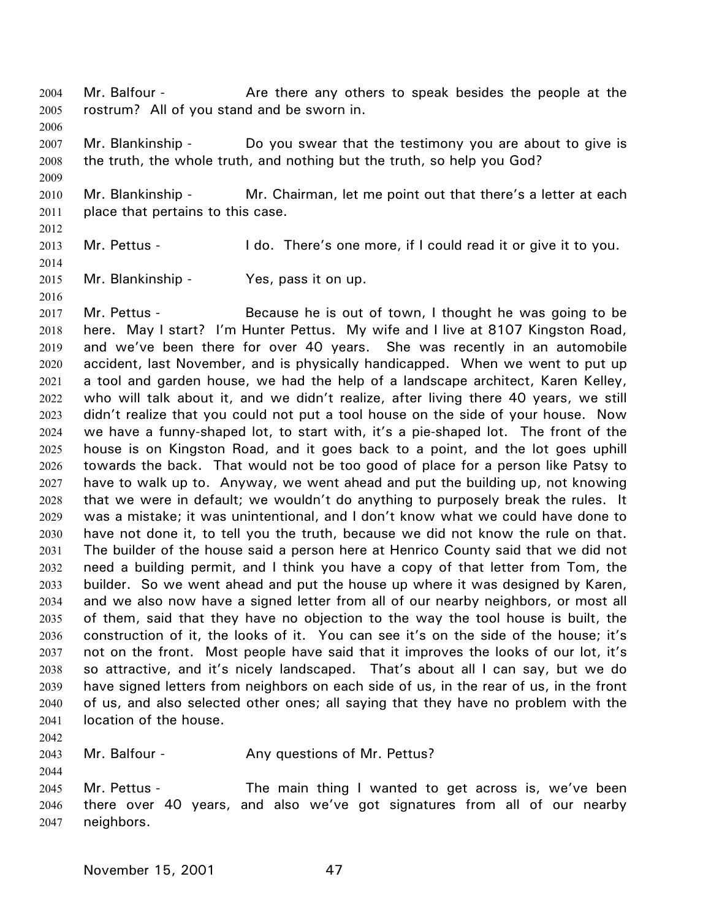Mr. Balfour - The Are there any others to speak besides the people at the rostrum? All of you stand and be sworn in. 2004 2005

2007 2008 Mr. Blankinship - Do you swear that the testimony you are about to give is the truth, the whole truth, and nothing but the truth, so help you God?

2010 2011 Mr. Blankinship - Mr. Chairman, let me point out that there's a letter at each place that pertains to this case.

2012 2013

2006

2009

Mr. Pettus - I do. There's one more, if I could read it or give it to you.

2014 2015 2016

Mr. Blankinship - Yes, pass it on up.

2017 2018 2019 2020 2021 2022 2023 2024 2025 2026 2027 2028 2029 2030 2031 2032 2033 2034 2035 2036 2037 2038 2039 2040 2041 Mr. Pettus - Because he is out of town, I thought he was going to be here. May I start? I'm Hunter Pettus. My wife and I live at 8107 Kingston Road, and we've been there for over 40 years. She was recently in an automobile accident, last November, and is physically handicapped. When we went to put up a tool and garden house, we had the help of a landscape architect, Karen Kelley, who will talk about it, and we didn't realize, after living there 40 years, we still didn't realize that you could not put a tool house on the side of your house. Now we have a funny-shaped lot, to start with, it's a pie-shaped lot. The front of the house is on Kingston Road, and it goes back to a point, and the lot goes uphill towards the back. That would not be too good of place for a person like Patsy to have to walk up to. Anyway, we went ahead and put the building up, not knowing that we were in default; we wouldn't do anything to purposely break the rules. It was a mistake; it was unintentional, and I don't know what we could have done to have not done it, to tell you the truth, because we did not know the rule on that. The builder of the house said a person here at Henrico County said that we did not need a building permit, and I think you have a copy of that letter from Tom, the builder. So we went ahead and put the house up where it was designed by Karen, and we also now have a signed letter from all of our nearby neighbors, or most all of them, said that they have no objection to the way the tool house is built, the construction of it, the looks of it. You can see it's on the side of the house; it's not on the front. Most people have said that it improves the looks of our lot, it's so attractive, and it's nicely landscaped. That's about all I can say, but we do have signed letters from neighbors on each side of us, in the rear of us, in the front of us, and also selected other ones; all saying that they have no problem with the location of the house.

2042

2044

2043 Mr. Balfour - Any questions of Mr. Pettus?

2045 2046 2047 Mr. Pettus - The main thing I wanted to get across is, we've been there over 40 years, and also we've got signatures from all of our nearby neighbors.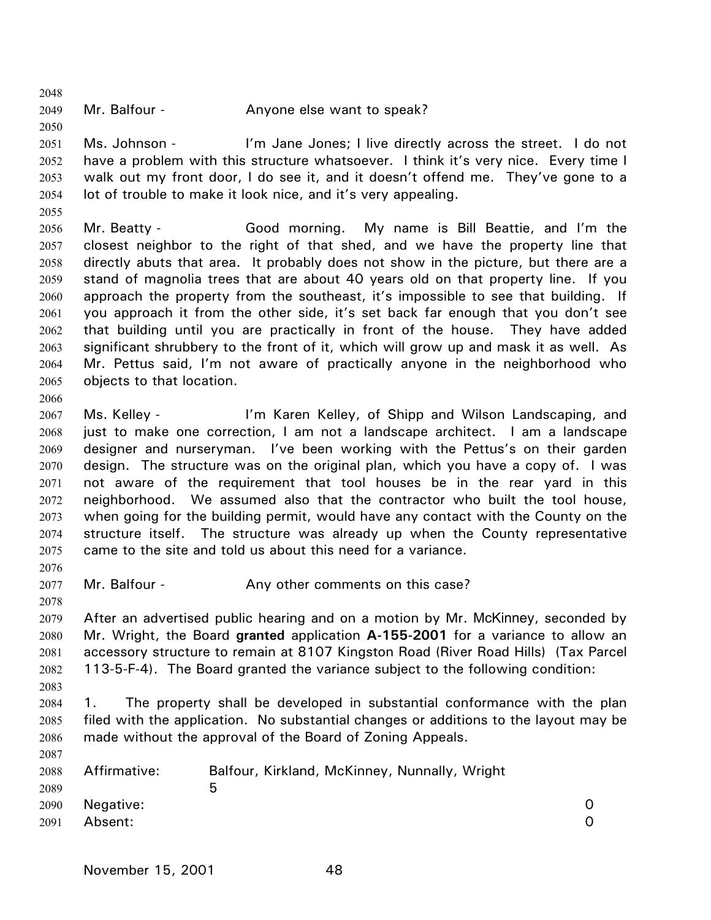2049 Mr. Balfour - Anyone else want to speak?

2051 2052 2053 2054 Ms. Johnson - I'm Jane Jones; I live directly across the street. I do not have a problem with this structure whatsoever. I think it's very nice. Every time I walk out my front door, I do see it, and it doesn't offend me. They've gone to a lot of trouble to make it look nice, and it's very appealing.

2055

2048

2050

2056 2057 2058 2059 2060 2061 2062 2063 2064 2065 Mr. Beatty - Good morning. My name is Bill Beattie, and I'm the closest neighbor to the right of that shed, and we have the property line that directly abuts that area. It probably does not show in the picture, but there are a stand of magnolia trees that are about 40 years old on that property line. If you approach the property from the southeast, it's impossible to see that building. If you approach it from the other side, it's set back far enough that you don't see that building until you are practically in front of the house. They have added significant shrubbery to the front of it, which will grow up and mask it as well. As Mr. Pettus said, I'm not aware of practically anyone in the neighborhood who objects to that location.

2067 2068 2069 2070 2071 2072 2073 2074 2075 Ms. Kelley - I'm Karen Kelley, of Shipp and Wilson Landscaping, and just to make one correction, I am not a landscape architect. I am a landscape designer and nurseryman. I've been working with the Pettus's on their garden design. The structure was on the original plan, which you have a copy of. I was not aware of the requirement that tool houses be in the rear yard in this neighborhood. We assumed also that the contractor who built the tool house, when going for the building permit, would have any contact with the County on the structure itself. The structure was already up when the County representative came to the site and told us about this need for a variance.

2076

2078

2066

2077 Mr. Balfour - The Any other comments on this case?

2079 2080 2081 2082 After an advertised public hearing and on a motion by Mr. McKinney, seconded by Mr. Wright, the Board **granted** application **A-155-2001** for a variance to allow an accessory structure to remain at 8107 Kingston Road (River Road Hills) (Tax Parcel 113-5-F-4). The Board granted the variance subject to the following condition:

2083

2087

2084 2085 2086 1. The property shall be developed in substantial conformance with the plan filed with the application. No substantial changes or additions to the layout may be made without the approval of the Board of Zoning Appeals.

| 2088<br>2089 | Affirmative:   | Balfour, Kirkland, McKinney, Nunnally, Wright<br>ხ |  |
|--------------|----------------|----------------------------------------------------|--|
|              | 2090 Negative: |                                                    |  |
| 2091         | Absent:        |                                                    |  |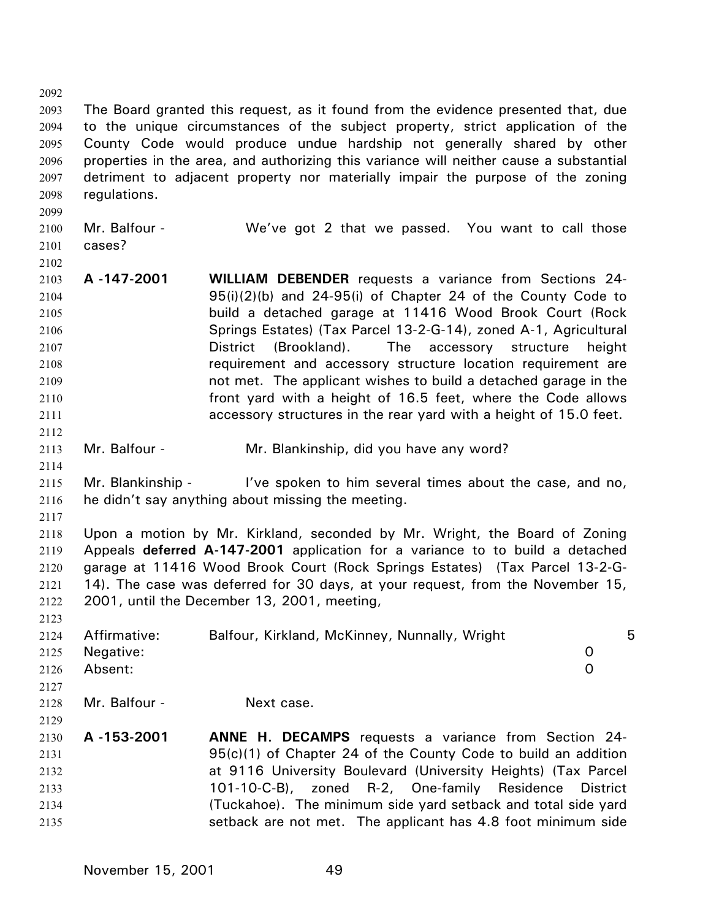2092 2093 2094 2095 2096 2097 2098 2099 2100 2101 The Board granted this request, as it found from the evidence presented that, due to the unique circumstances of the subject property, strict application of the County Code would produce undue hardship not generally shared by other properties in the area, and authorizing this variance will neither cause a substantial detriment to adjacent property nor materially impair the purpose of the zoning regulations. Mr. Balfour - We've got 2 that we passed. You want to call those cases?

- 2103 2104 2105 2106 2107 2108 2109 2110 2111 **A -147-2001 WILLIAM DEBENDER** requests a variance from Sections 24- 95(i)(2)(b) and 24-95(i) of Chapter 24 of the County Code to build a detached garage at 11416 Wood Brook Court (Rock Springs Estates) (Tax Parcel 13-2-G-14), zoned A-1, Agricultural District (Brookland). The accessory structure height requirement and accessory structure location requirement are not met. The applicant wishes to build a detached garage in the front yard with a height of 16.5 feet, where the Code allows accessory structures in the rear yard with a height of 15.0 feet.
- 2113 Mr. Balfour - Mr. Blankinship, did you have any word?
- 2115 2116 Mr. Blankinship - I've spoken to him several times about the case, and no, he didn't say anything about missing the meeting.
- 2117

2123

2112

2114

2102

2118 2119 2120 2121 2122 Upon a motion by Mr. Kirkland, seconded by Mr. Wright, the Board of Zoning Appeals **deferred A-147-2001** application for a variance to to build a detached garage at 11416 Wood Brook Court (Rock Springs Estates) (Tax Parcel 13-2-G-14). The case was deferred for 30 days, at your request, from the November 15, 2001, until the December 13, 2001, meeting,

| 2124 | Affirmative:  | Balfour, Kirkland, McKinney, Nunnally, Wright |               | 5 |
|------|---------------|-----------------------------------------------|---------------|---|
| 2125 | Negative:     |                                               | O             |   |
| 2126 | Absent:       |                                               | O             |   |
| 2127 |               |                                               |               |   |
| 2128 | Mr. Balfour - | Next case.                                    |               |   |
| 2129 |               |                                               |               |   |
| .    | . <i>.</i>    | <b>BEAINDRA</b>                               | $\sim$ $\sim$ |   |

2130 2131 2132 2133 2134 2135 **A -153-2001 ANNE H. DECAMPS** requests a variance from Section 24- 95(c)(1) of Chapter 24 of the County Code to build an addition at 9116 University Boulevard (University Heights) (Tax Parcel 101-10-C-B), zoned R-2, One-family Residence District (Tuckahoe). The minimum side yard setback and total side yard setback are not met. The applicant has 4.8 foot minimum side